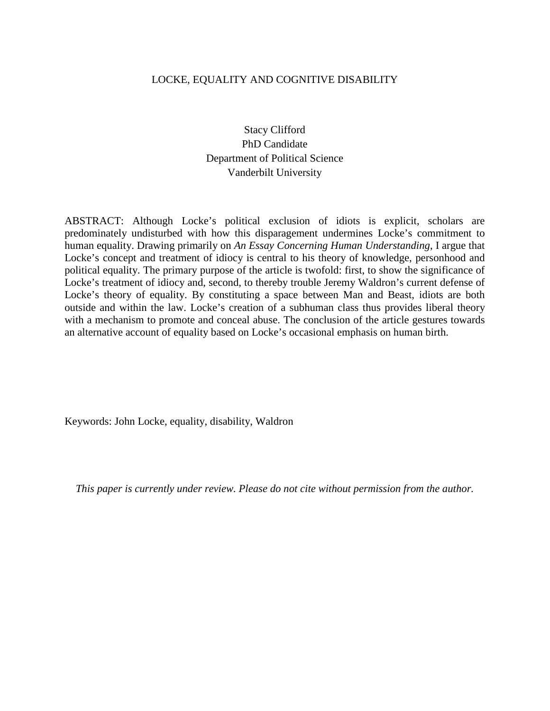# LOCKE, EQUALITY AND COGNITIVE DISABILITY

Stacy Clifford PhD Candidate Department of Political Science Vanderbilt University

ABSTRACT: Although Locke's political exclusion of idiots is explicit, scholars are predominately undisturbed with how this disparagement undermines Locke's commitment to human equality. Drawing primarily on *An Essay Concerning Human Understanding*, I argue that Locke's concept and treatment of idiocy is central to his theory of knowledge, personhood and political equality. The primary purpose of the article is twofold: first, to show the significance of Locke's treatment of idiocy and, second, to thereby trouble Jeremy Waldron's current defense of Locke's theory of equality. By constituting a space between Man and Beast, idiots are both outside and within the law. Locke's creation of a subhuman class thus provides liberal theory with a mechanism to promote and conceal abuse. The conclusion of the article gestures towards an alternative account of equality based on Locke's occasional emphasis on human birth.

Keywords: John Locke, equality, disability, Waldron

*This paper is currently under review. Please do not cite without permission from the author.*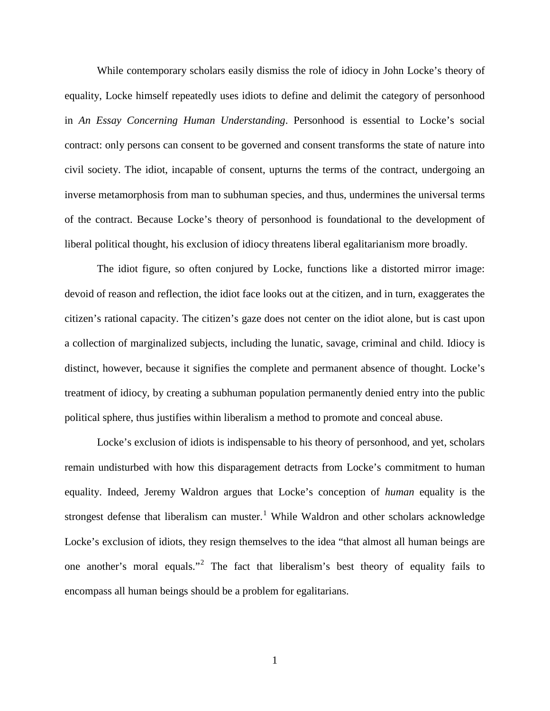While contemporary scholars easily dismiss the role of idiocy in John Locke's theory of equality, Locke himself repeatedly uses idiots to define and delimit the category of personhood in *An Essay Concerning Human Understanding*. Personhood is essential to Locke's social contract: only persons can consent to be governed and consent transforms the state of nature into civil society. The idiot, incapable of consent, upturns the terms of the contract, undergoing an inverse metamorphosis from man to subhuman species, and thus, undermines the universal terms of the contract. Because Locke's theory of personhood is foundational to the development of liberal political thought, his exclusion of idiocy threatens liberal egalitarianism more broadly.

The idiot figure, so often conjured by Locke, functions like a distorted mirror image: devoid of reason and reflection, the idiot face looks out at the citizen, and in turn, exaggerates the citizen's rational capacity. The citizen's gaze does not center on the idiot alone, but is cast upon a collection of marginalized subjects, including the lunatic, savage, criminal and child. Idiocy is distinct, however, because it signifies the complete and permanent absence of thought. Locke's treatment of idiocy, by creating a subhuman population permanently denied entry into the public political sphere, thus justifies within liberalism a method to promote and conceal abuse.

Locke's exclusion of idiots is indispensable to his theory of personhood, and yet, scholars remain undisturbed with how this disparagement detracts from Locke's commitment to human equality. Indeed, Jeremy Waldron argues that Locke's conception of *human* equality is the strongest defense that liberalism can muster.<sup>[1](#page-32-0)</sup> While Waldron and other scholars acknowledge Locke's exclusion of idiots, they resign themselves to the idea "that almost all human beings are one another's moral equals."[2](#page-32-1) The fact that liberalism's best theory of equality fails to encompass all human beings should be a problem for egalitarians.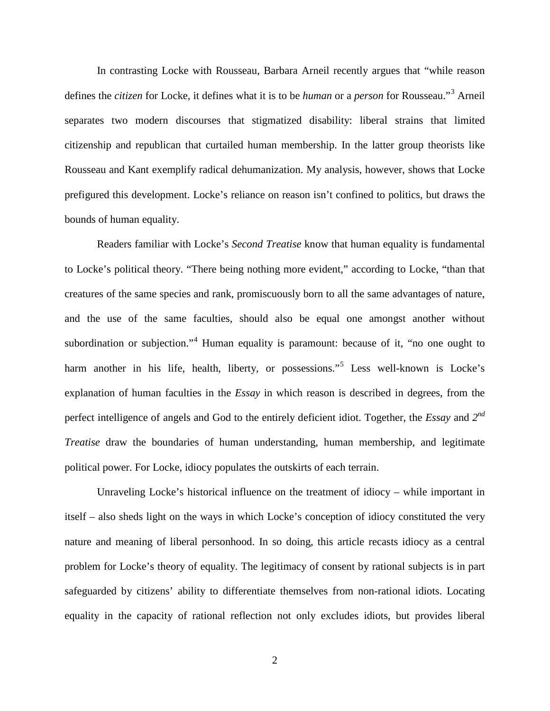In contrasting Locke with Rousseau, Barbara Arneil recently argues that "while reason defines the *citizen* for Locke, it defines what it is to be *human* or a *person* for Rousseau."[3](#page-32-2) Arneil separates two modern discourses that stigmatized disability: liberal strains that limited citizenship and republican that curtailed human membership. In the latter group theorists like Rousseau and Kant exemplify radical dehumanization. My analysis, however, shows that Locke prefigured this development. Locke's reliance on reason isn't confined to politics, but draws the bounds of human equality.

Readers familiar with Locke's *Second Treatise* know that human equality is fundamental to Locke's political theory. "There being nothing more evident," according to Locke, "than that creatures of the same species and rank, promiscuously born to all the same advantages of nature, and the use of the same faculties, should also be equal one amongst another without subordination or subjection."<sup>[4](#page-32-3)</sup> Human equality is paramount: because of it, "no one ought to harm another in his life, health, liberty, or possessions."<sup>[5](#page-32-4)</sup> Less well-known is Locke's explanation of human faculties in the *Essay* in which reason is described in degrees, from the perfect intelligence of angels and God to the entirely deficient idiot. Together, the *Essay* and *2nd Treatise* draw the boundaries of human understanding, human membership, and legitimate political power. For Locke, idiocy populates the outskirts of each terrain.

Unraveling Locke's historical influence on the treatment of idiocy – while important in itself – also sheds light on the ways in which Locke's conception of idiocy constituted the very nature and meaning of liberal personhood. In so doing, this article recasts idiocy as a central problem for Locke's theory of equality. The legitimacy of consent by rational subjects is in part safeguarded by citizens' ability to differentiate themselves from non-rational idiots. Locating equality in the capacity of rational reflection not only excludes idiots, but provides liberal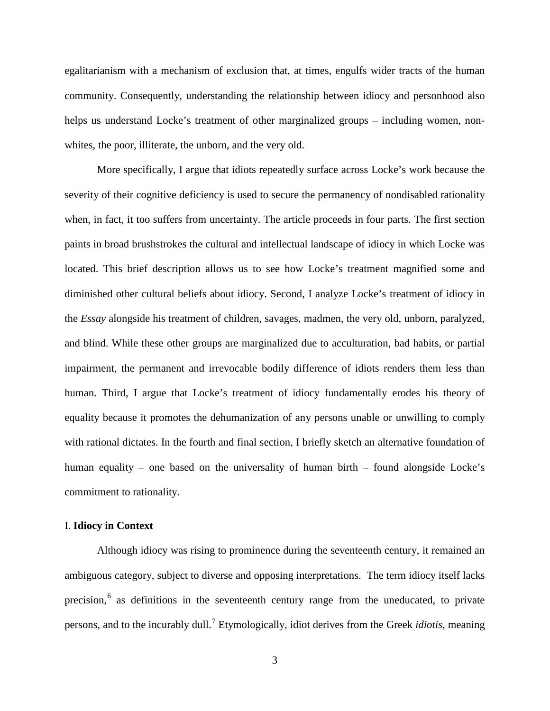egalitarianism with a mechanism of exclusion that, at times, engulfs wider tracts of the human community. Consequently, understanding the relationship between idiocy and personhood also helps us understand Locke's treatment of other marginalized groups – including women, nonwhites, the poor, illiterate, the unborn, and the very old.

More specifically, I argue that idiots repeatedly surface across Locke's work because the severity of their cognitive deficiency is used to secure the permanency of nondisabled rationality when, in fact, it too suffers from uncertainty. The article proceeds in four parts. The first section paints in broad brushstrokes the cultural and intellectual landscape of idiocy in which Locke was located. This brief description allows us to see how Locke's treatment magnified some and diminished other cultural beliefs about idiocy. Second, I analyze Locke's treatment of idiocy in the *Essay* alongside his treatment of children, savages, madmen, the very old, unborn, paralyzed, and blind. While these other groups are marginalized due to acculturation, bad habits, or partial impairment, the permanent and irrevocable bodily difference of idiots renders them less than human. Third, I argue that Locke's treatment of idiocy fundamentally erodes his theory of equality because it promotes the dehumanization of any persons unable or unwilling to comply with rational dictates. In the fourth and final section, I briefly sketch an alternative foundation of human equality – one based on the universality of human birth – found alongside Locke's commitment to rationality.

## I. **Idiocy in Context**

Although idiocy was rising to prominence during the seventeenth century, it remained an ambiguous category, subject to diverse and opposing interpretations. The term idiocy itself lacks precision,<sup>[6](#page-32-5)</sup> as definitions in the seventeenth century range from the uneducated, to private persons, and to the incurably dull.[7](#page-32-6) Etymologically, idiot derives from the Greek *idiotis*, meaning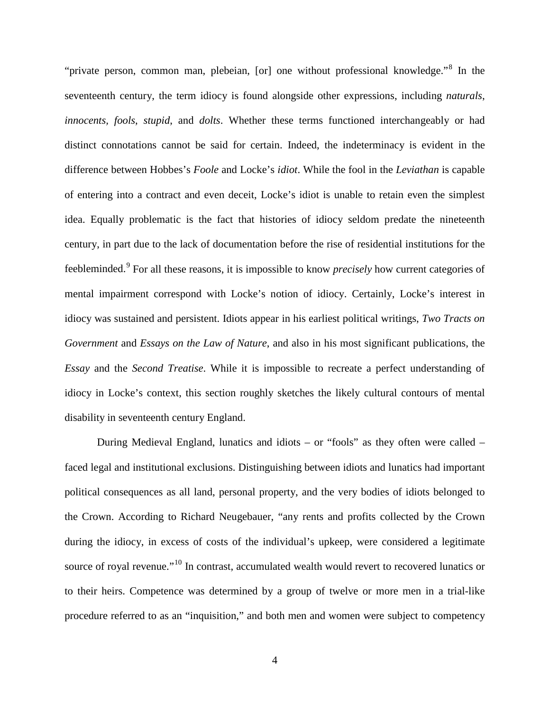"private person, common man, plebeian, [or] one without professional knowledge."[8](#page-32-7) In the seventeenth century, the term idiocy is found alongside other expressions, including *naturals*, *innocents, fools*, *stupid*, and *dolts*. Whether these terms functioned interchangeably or had distinct connotations cannot be said for certain. Indeed, the indeterminacy is evident in the difference between Hobbes's *Foole* and Locke's *idiot*. While the fool in the *Leviathan* is capable of entering into a contract and even deceit, Locke's idiot is unable to retain even the simplest idea. Equally problematic is the fact that histories of idiocy seldom predate the nineteenth century, in part due to the lack of documentation before the rise of residential institutions for the feebleminded.<sup>[9](#page-32-8)</sup> For all these reasons, it is impossible to know *precisely* how current categories of mental impairment correspond with Locke's notion of idiocy. Certainly, Locke's interest in idiocy was sustained and persistent. Idiots appear in his earliest political writings, *Two Tracts on Government* and *Essays on the Law of Nature*, and also in his most significant publications, the *Essay* and the *Second Treatise*. While it is impossible to recreate a perfect understanding of idiocy in Locke's context, this section roughly sketches the likely cultural contours of mental disability in seventeenth century England.

During Medieval England, lunatics and idiots – or "fools" as they often were called – faced legal and institutional exclusions. Distinguishing between idiots and lunatics had important political consequences as all land, personal property, and the very bodies of idiots belonged to the Crown. According to Richard Neugebauer, "any rents and profits collected by the Crown during the idiocy, in excess of costs of the individual's upkeep, were considered a legitimate source of royal revenue."<sup>[10](#page-33-0)</sup> In contrast, accumulated wealth would revert to recovered lunatics or to their heirs. Competence was determined by a group of twelve or more men in a trial-like procedure referred to as an "inquisition," and both men and women were subject to competency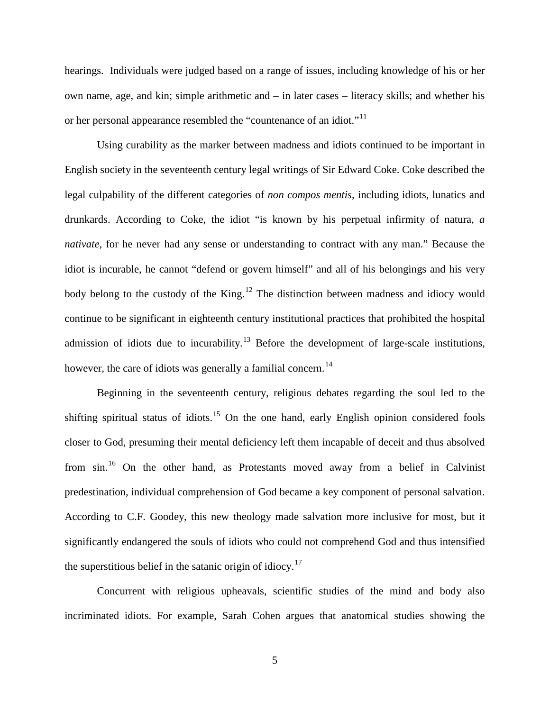hearings. Individuals were judged based on a range of issues, including knowledge of his or her own name, age, and kin; simple arithmetic and – in later cases – literacy skills; and whether his or her personal appearance resembled the "countenance of an idiot."<sup>[11](#page-33-1)</sup>

Using curability as the marker between madness and idiots continued to be important in English society in the seventeenth century legal writings of Sir Edward Coke. Coke described the legal culpability of the different categories of *non compos mentis*, including idiots, lunatics and drunkards. According to Coke, the idiot "is known by his perpetual infirmity of natura, *a nativate,* for he never had any sense or understanding to contract with any man." Because the idiot is incurable, he cannot "defend or govern himself" and all of his belongings and his very body belong to the custody of the King.<sup>[12](#page-33-2)</sup> The distinction between madness and idiocy would continue to be significant in eighteenth century institutional practices that prohibited the hospital admission of idiots due to incurability.<sup>[13](#page-33-3)</sup> Before the development of large-scale institutions, however, the care of idiots was generally a familial concern.<sup>[14](#page-33-4)</sup>

Beginning in the seventeenth century, religious debates regarding the soul led to the shifting spiritual status of idiots.<sup>[15](#page-33-5)</sup> On the one hand, early English opinion considered fools closer to God, presuming their mental deficiency left them incapable of deceit and thus absolved from sin.[16](#page-33-6) On the other hand, as Protestants moved away from a belief in Calvinist predestination, individual comprehension of God became a key component of personal salvation. According to C.F. Goodey, this new theology made salvation more inclusive for most, but it significantly endangered the souls of idiots who could not comprehend God and thus intensified the superstitious belief in the satanic origin of idiocy.<sup>[17](#page-33-7)</sup>

Concurrent with religious upheavals, scientific studies of the mind and body also incriminated idiots. For example, Sarah Cohen argues that anatomical studies showing the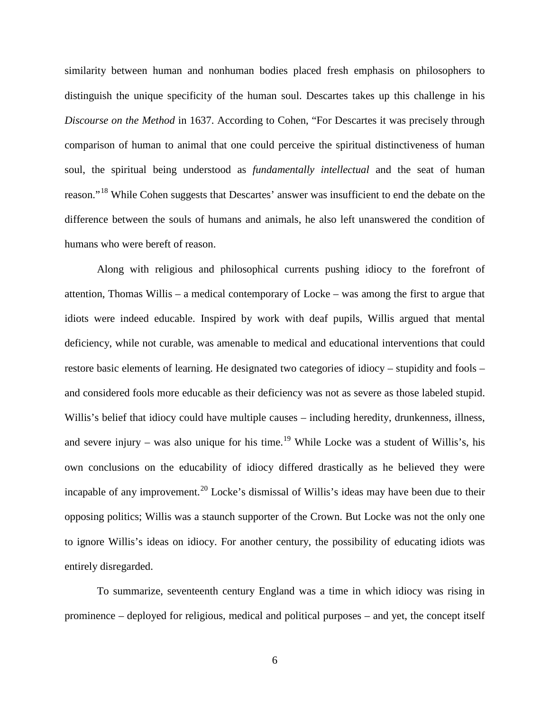similarity between human and nonhuman bodies placed fresh emphasis on philosophers to distinguish the unique specificity of the human soul. Descartes takes up this challenge in his *Discourse on the Method* in 1637. According to Cohen, "For Descartes it was precisely through comparison of human to animal that one could perceive the spiritual distinctiveness of human soul, the spiritual being understood as *fundamentally intellectual* and the seat of human reason."<sup>[18](#page-33-8)</sup> While Cohen suggests that Descartes' answer was insufficient to end the debate on the difference between the souls of humans and animals, he also left unanswered the condition of humans who were bereft of reason.

Along with religious and philosophical currents pushing idiocy to the forefront of attention, Thomas Willis – a medical contemporary of Locke – was among the first to argue that idiots were indeed educable. Inspired by work with deaf pupils, Willis argued that mental deficiency, while not curable, was amenable to medical and educational interventions that could restore basic elements of learning. He designated two categories of idiocy – stupidity and fools – and considered fools more educable as their deficiency was not as severe as those labeled stupid. Willis's belief that idiocy could have multiple causes – including heredity, drunkenness, illness, and severe injury – was also unique for his time.<sup>[19](#page-33-9)</sup> While Locke was a student of Willis's, his own conclusions on the educability of idiocy differed drastically as he believed they were incapable of any improvement.<sup>[20](#page-33-10)</sup> Locke's dismissal of Willis's ideas may have been due to their opposing politics; Willis was a staunch supporter of the Crown. But Locke was not the only one to ignore Willis's ideas on idiocy. For another century, the possibility of educating idiots was entirely disregarded.

To summarize, seventeenth century England was a time in which idiocy was rising in prominence – deployed for religious, medical and political purposes – and yet, the concept itself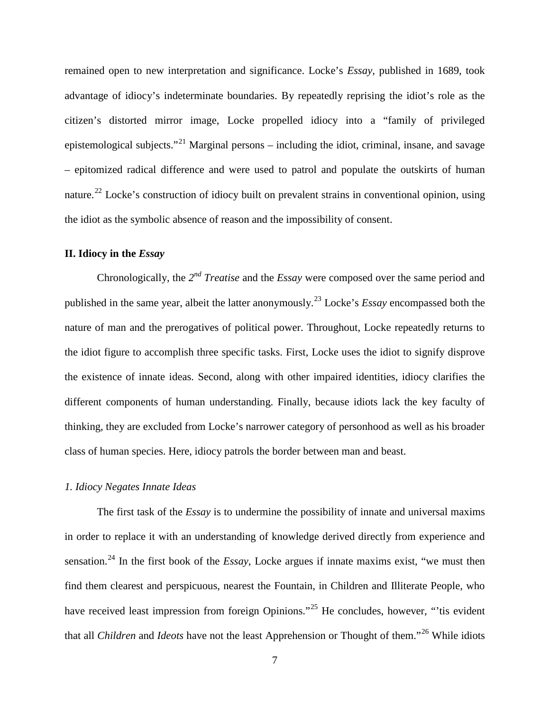remained open to new interpretation and significance. Locke's *Essay*, published in 1689, took advantage of idiocy's indeterminate boundaries. By repeatedly reprising the idiot's role as the citizen's distorted mirror image, Locke propelled idiocy into a "family of privileged epistemological subjects."<sup>[21](#page-34-0)</sup> Marginal persons – including the idiot, criminal, insane, and savage – epitomized radical difference and were used to patrol and populate the outskirts of human nature.<sup>[22](#page-34-1)</sup> Locke's construction of idiocy built on prevalent strains in conventional opinion, using the idiot as the symbolic absence of reason and the impossibility of consent.

### **II. Idiocy in the** *Essay*

Chronologically, the *2nd Treatise* and the *Essay* were composed over the same period and published in the same year, albeit the latter anonymously.<sup>[23](#page-34-2)</sup> Locke's *Essay* encompassed both the nature of man and the prerogatives of political power. Throughout, Locke repeatedly returns to the idiot figure to accomplish three specific tasks. First, Locke uses the idiot to signify disprove the existence of innate ideas. Second, along with other impaired identities, idiocy clarifies the different components of human understanding. Finally, because idiots lack the key faculty of thinking, they are excluded from Locke's narrower category of personhood as well as his broader class of human species. Here, idiocy patrols the border between man and beast.

#### *1. Idiocy Negates Innate Ideas*

The first task of the *Essay* is to undermine the possibility of innate and universal maxims in order to replace it with an understanding of knowledge derived directly from experience and sensation.[24](#page-34-3) In the first book of the *Essay*, Locke argues if innate maxims exist, "we must then find them clearest and perspicuous, nearest the Fountain, in Children and Illiterate People, who have received least impression from foreign Opinions."<sup>[25](#page-34-4)</sup> He concludes, however, "'tis evident that all *Children* and *Ideots* have not the least Apprehension or Thought of them."[26](#page-34-5) While idiots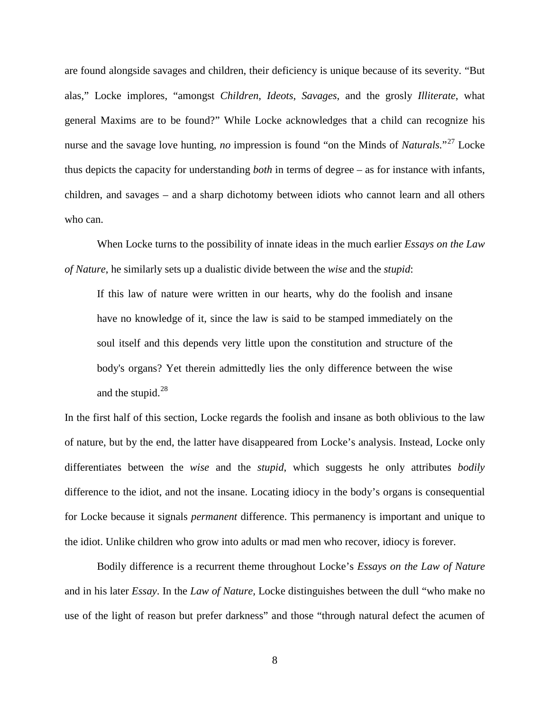are found alongside savages and children, their deficiency is unique because of its severity. "But alas," Locke implores, "amongst *Children*, *Ideots*, *Savages*, and the grosly *Illiterate*, what general Maxims are to be found?" While Locke acknowledges that a child can recognize his nurse and the savage love hunting, *no* impression is found "on the Minds of *Naturals*."<sup>[27](#page-34-6)</sup> Locke thus depicts the capacity for understanding *both* in terms of degree – as for instance with infants, children, and savages – and a sharp dichotomy between idiots who cannot learn and all others who can.

When Locke turns to the possibility of innate ideas in the much earlier *Essays on the Law of Nature*, he similarly sets up a dualistic divide between the *wise* and the *stupid*:

If this law of nature were written in our hearts, why do the foolish and insane have no knowledge of it, since the law is said to be stamped immediately on the soul itself and this depends very little upon the constitution and structure of the body's organs? Yet therein admittedly lies the only difference between the wise and the stupid.<sup>[28](#page-34-7)</sup>

In the first half of this section, Locke regards the foolish and insane as both oblivious to the law of nature, but by the end, the latter have disappeared from Locke's analysis. Instead, Locke only differentiates between the *wise* and the *stupid*, which suggests he only attributes *bodily* difference to the idiot, and not the insane. Locating idiocy in the body's organs is consequential for Locke because it signals *permanent* difference. This permanency is important and unique to the idiot. Unlike children who grow into adults or mad men who recover, idiocy is forever.

Bodily difference is a recurrent theme throughout Locke's *Essays on the Law of Nature* and in his later *Essay*. In the *Law of Nature,* Locke distinguishes between the dull "who make no use of the light of reason but prefer darkness" and those "through natural defect the acumen of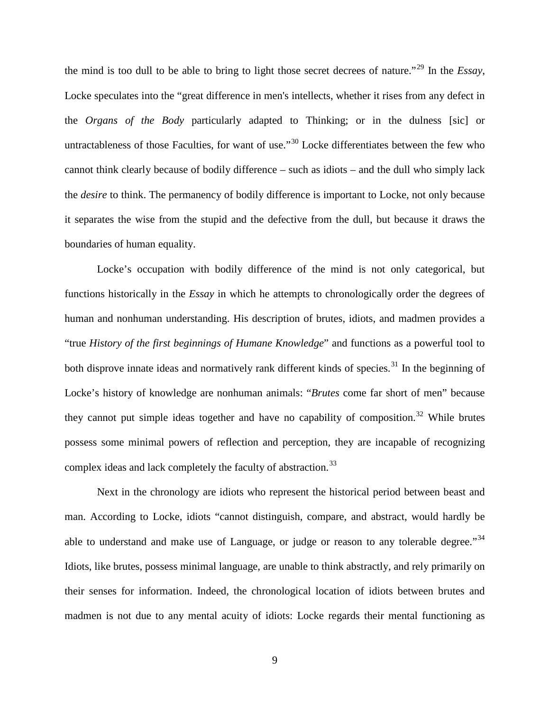the mind is too dull to be able to bring to light those secret decrees of nature."[29](#page-34-8) In the *Essay*, Locke speculates into the "great difference in men's intellects, whether it rises from any defect in the *Organs of the Body* particularly adapted to Thinking; or in the dulness [sic] or untractableness of those Faculties, for want of use."<sup>[30](#page-34-9)</sup> Locke differentiates between the few who cannot think clearly because of bodily difference – such as idiots – and the dull who simply lack the *desire* to think. The permanency of bodily difference is important to Locke, not only because it separates the wise from the stupid and the defective from the dull, but because it draws the boundaries of human equality.

Locke's occupation with bodily difference of the mind is not only categorical, but functions historically in the *Essay* in which he attempts to chronologically order the degrees of human and nonhuman understanding. His description of brutes, idiots, and madmen provides a "true *History of the first beginnings of Humane Knowledge*" and functions as a powerful tool to both disprove innate ideas and normatively rank different kinds of species.<sup>[31](#page-34-10)</sup> In the beginning of Locke's history of knowledge are nonhuman animals: "*Brutes* come far short of men" because they cannot put simple ideas together and have no capability of composition.<sup>[32](#page-34-11)</sup> While brutes possess some minimal powers of reflection and perception, they are incapable of recognizing complex ideas and lack completely the faculty of abstraction.<sup>[33](#page-34-12)</sup>

Next in the chronology are idiots who represent the historical period between beast and man. According to Locke, idiots "cannot distinguish, compare, and abstract, would hardly be able to understand and make use of Language, or judge or reason to any tolerable degree.<sup>[34](#page-34-13)</sup> Idiots, like brutes, possess minimal language, are unable to think abstractly, and rely primarily on their senses for information. Indeed, the chronological location of idiots between brutes and madmen is not due to any mental acuity of idiots: Locke regards their mental functioning as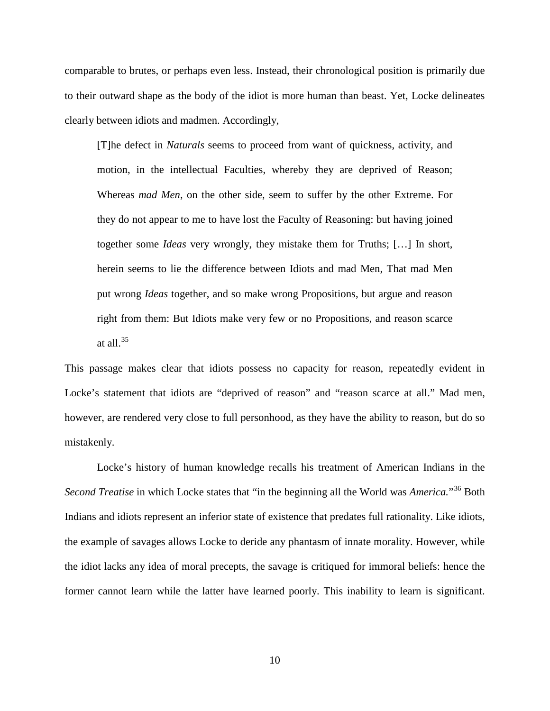comparable to brutes, or perhaps even less. Instead, their chronological position is primarily due to their outward shape as the body of the idiot is more human than beast. Yet, Locke delineates clearly between idiots and madmen. Accordingly,

[T]he defect in *Naturals* seems to proceed from want of quickness, activity, and motion, in the intellectual Faculties, whereby they are deprived of Reason; Whereas *mad Men*, on the other side, seem to suffer by the other Extreme. For they do not appear to me to have lost the Faculty of Reasoning: but having joined together some *Ideas* very wrongly, they mistake them for Truths; […] In short, herein seems to lie the difference between Idiots and mad Men, That mad Men put wrong *Ideas* together, and so make wrong Propositions, but argue and reason right from them: But Idiots make very few or no Propositions, and reason scarce at all. $35$ 

This passage makes clear that idiots possess no capacity for reason, repeatedly evident in Locke's statement that idiots are "deprived of reason" and "reason scarce at all." Mad men, however, are rendered very close to full personhood, as they have the ability to reason, but do so mistakenly.

Locke's history of human knowledge recalls his treatment of American Indians in the *Second Treatise* in which Locke states that "in the beginning all the World was *America.*"[36](#page-34-15) Both Indians and idiots represent an inferior state of existence that predates full rationality. Like idiots, the example of savages allows Locke to deride any phantasm of innate morality. However, while the idiot lacks any idea of moral precepts, the savage is critiqued for immoral beliefs: hence the former cannot learn while the latter have learned poorly. This inability to learn is significant.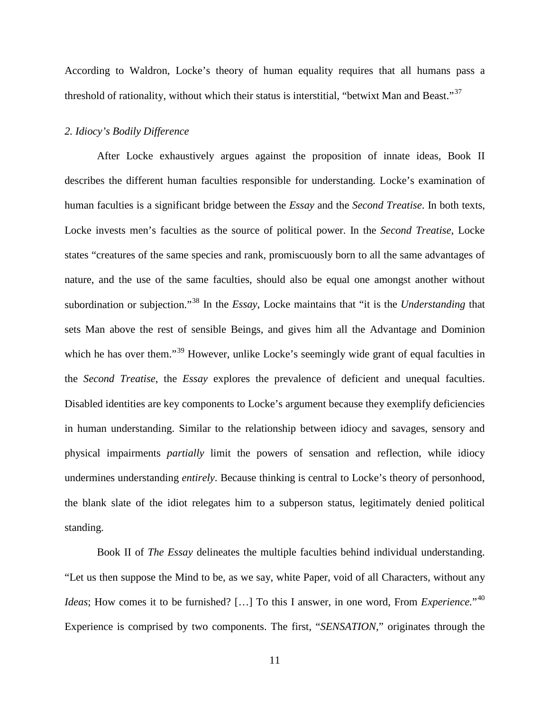According to Waldron, Locke's theory of human equality requires that all humans pass a threshold of rationality, without which their status is interstitial, "betwixt Man and Beast."<sup>[37](#page-34-16)</sup>

#### *2. Idiocy's Bodily Difference*

After Locke exhaustively argues against the proposition of innate ideas, Book II describes the different human faculties responsible for understanding. Locke's examination of human faculties is a significant bridge between the *Essay* and the *Second Treatise*. In both texts, Locke invests men's faculties as the source of political power. In the *Second Treatise*, Locke states "creatures of the same species and rank, promiscuously born to all the same advantages of nature, and the use of the same faculties, should also be equal one amongst another without subordination or subjection."[38](#page-35-0) In the *Essay*, Locke maintains that "it is the *Understanding* that sets Man above the rest of sensible Beings, and gives him all the Advantage and Dominion which he has over them."<sup>[39](#page-35-1)</sup> However, unlike Locke's seemingly wide grant of equal faculties in the *Second Treatise*, the *Essay* explores the prevalence of deficient and unequal faculties. Disabled identities are key components to Locke's argument because they exemplify deficiencies in human understanding. Similar to the relationship between idiocy and savages, sensory and physical impairments *partially* limit the powers of sensation and reflection, while idiocy undermines understanding *entirely*. Because thinking is central to Locke's theory of personhood, the blank slate of the idiot relegates him to a subperson status, legitimately denied political standing.

Book II of *The Essay* delineates the multiple faculties behind individual understanding. "Let us then suppose the Mind to be, as we say, white Paper, void of all Characters, without any *Ideas*; How comes it to be furnished? […] To this I answer, in one word, From *Experience.*" [40](#page-35-2) Experience is comprised by two components. The first, "*SENSATION*," originates through the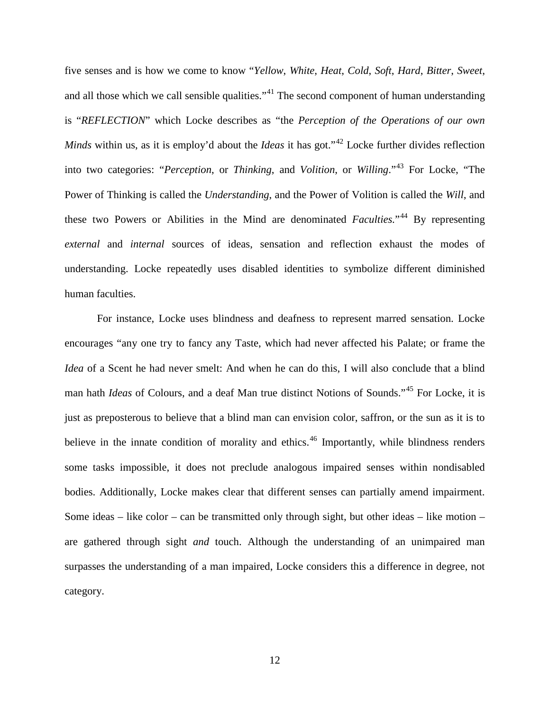five senses and is how we come to know "*Yellow*, *White*, *Heat*, *Cold*, *Soft*, *Hard*, *Bitter*, *Sweet*, and all those which we call sensible qualities."<sup>[41](#page-35-3)</sup> The second component of human understanding is "*REFLECTION*" which Locke describes as "the *Perception of the Operations of our own Minds* within us, as it is employ'd about the *Ideas* it has got."<sup>[42](#page-35-4)</sup> Locke further divides reflection into two categories: "*Perception*, or *Thinking*, and *Volition*, or *Willing*."[43](#page-35-5) For Locke, "The Power of Thinking is called the *Understanding*, and the Power of Volition is called the *Will*, and these two Powers or Abilities in the Mind are denominated *Faculties*."<sup>[44](#page-35-6)</sup> By representing *external* and *internal* sources of ideas, sensation and reflection exhaust the modes of understanding. Locke repeatedly uses disabled identities to symbolize different diminished human faculties.

For instance, Locke uses blindness and deafness to represent marred sensation. Locke encourages "any one try to fancy any Taste, which had never affected his Palate; or frame the *Idea* of a Scent he had never smelt: And when he can do this, I will also conclude that a blind man hath *Ideas* of Colours, and a deaf Man true distinct Notions of Sounds." [45](#page-35-7) For Locke, it is just as preposterous to believe that a blind man can envision color, saffron, or the sun as it is to believe in the innate condition of morality and ethics.<sup>[46](#page-35-8)</sup> Importantly, while blindness renders some tasks impossible, it does not preclude analogous impaired senses within nondisabled bodies. Additionally, Locke makes clear that different senses can partially amend impairment. Some ideas – like color – can be transmitted only through sight, but other ideas – like motion – are gathered through sight *and* touch. Although the understanding of an unimpaired man surpasses the understanding of a man impaired, Locke considers this a difference in degree, not category.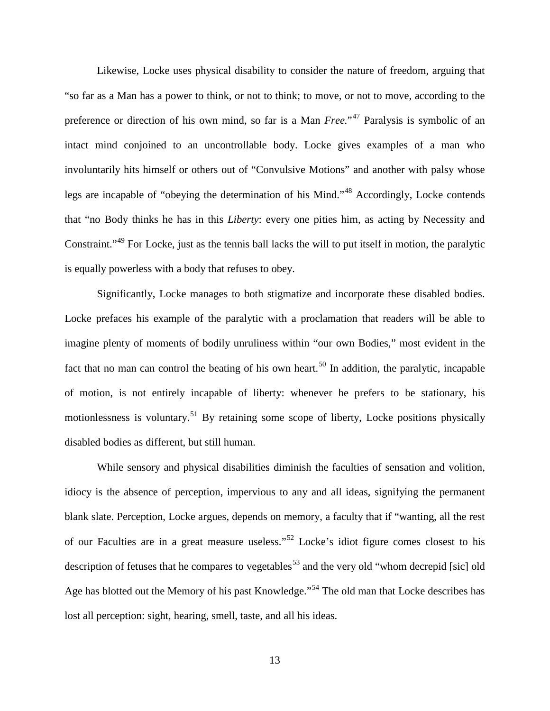Likewise, Locke uses physical disability to consider the nature of freedom, arguing that "so far as a Man has a power to think, or not to think; to move, or not to move, according to the preference or direction of his own mind, so far is a Man *Free.*<sup>"[47](#page-35-9)</sup> Paralysis is symbolic of an intact mind conjoined to an uncontrollable body. Locke gives examples of a man who involuntarily hits himself or others out of "Convulsive Motions" and another with palsy whose legs are incapable of "obeying the determination of his Mind."[48](#page-35-10) Accordingly, Locke contends that "no Body thinks he has in this *Liberty*: every one pities him, as acting by Necessity and Constraint."<sup>[49](#page-35-11)</sup> For Locke, just as the tennis ball lacks the will to put itself in motion, the paralytic is equally powerless with a body that refuses to obey.

Significantly, Locke manages to both stigmatize and incorporate these disabled bodies. Locke prefaces his example of the paralytic with a proclamation that readers will be able to imagine plenty of moments of bodily unruliness within "our own Bodies," most evident in the fact that no man can control the beating of his own heart.<sup>[50](#page-35-12)</sup> In addition, the paralytic, incapable of motion, is not entirely incapable of liberty: whenever he prefers to be stationary, his motionlessness is voluntary.<sup>[51](#page-35-13)</sup> By retaining some scope of liberty, Locke positions physically disabled bodies as different, but still human.

While sensory and physical disabilities diminish the faculties of sensation and volition, idiocy is the absence of perception, impervious to any and all ideas, signifying the permanent blank slate. Perception, Locke argues, depends on memory, a faculty that if "wanting, all the rest of our Faculties are in a great measure useless."<sup>[52](#page-35-14)</sup> Locke's idiot figure comes closest to his description of fetuses that he compares to vegetables<sup>[53](#page-35-15)</sup> and the very old "whom decrepid [sic] old Age has blotted out the Memory of his past Knowledge."<sup>[54](#page-35-16)</sup> The old man that Locke describes has lost all perception: sight, hearing, smell, taste, and all his ideas.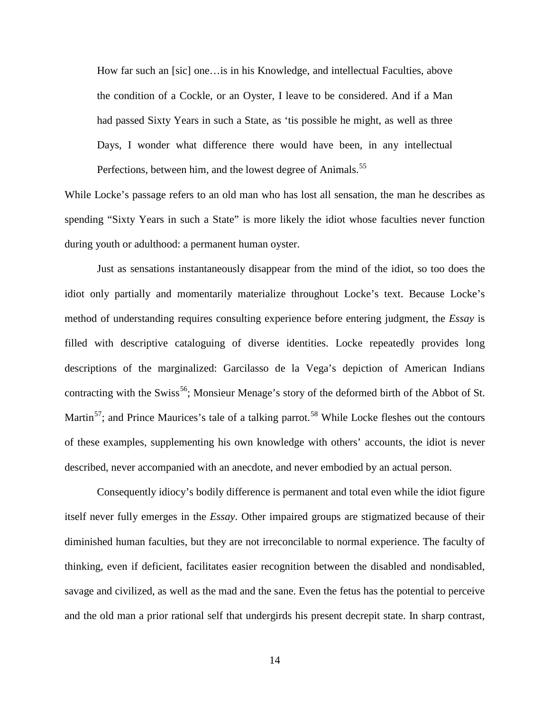How far such an [sic] one…is in his Knowledge, and intellectual Faculties, above the condition of a Cockle, or an Oyster, I leave to be considered. And if a Man had passed Sixty Years in such a State, as 'tis possible he might, as well as three Days, I wonder what difference there would have been, in any intellectual Perfections, between him, and the lowest degree of Animals.<sup>[55](#page-35-17)</sup>

While Locke's passage refers to an old man who has lost all sensation, the man he describes as spending "Sixty Years in such a State" is more likely the idiot whose faculties never function during youth or adulthood: a permanent human oyster.

Just as sensations instantaneously disappear from the mind of the idiot, so too does the idiot only partially and momentarily materialize throughout Locke's text. Because Locke's method of understanding requires consulting experience before entering judgment, the *Essay* is filled with descriptive cataloguing of diverse identities. Locke repeatedly provides long descriptions of the marginalized: Garcilasso de la Vega's depiction of American Indians contracting with the Swiss<sup>56</sup>; Monsieur Menage's story of the deformed birth of the Abbot of St. Martin<sup>[57](#page-35-19)</sup>; and Prince Maurices's tale of a talking parrot.<sup>[58](#page-35-20)</sup> While Locke fleshes out the contours of these examples, supplementing his own knowledge with others' accounts, the idiot is never described, never accompanied with an anecdote, and never embodied by an actual person.

Consequently idiocy's bodily difference is permanent and total even while the idiot figure itself never fully emerges in the *Essay*. Other impaired groups are stigmatized because of their diminished human faculties, but they are not irreconcilable to normal experience. The faculty of thinking, even if deficient, facilitates easier recognition between the disabled and nondisabled, savage and civilized, as well as the mad and the sane. Even the fetus has the potential to perceive and the old man a prior rational self that undergirds his present decrepit state. In sharp contrast,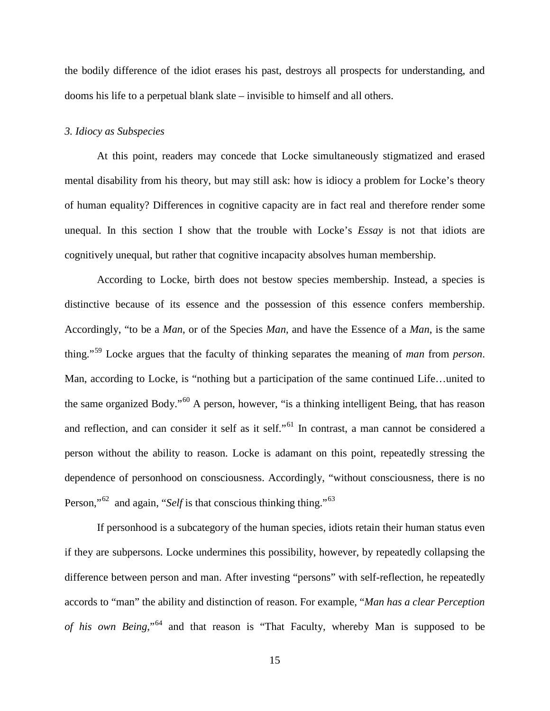the bodily difference of the idiot erases his past, destroys all prospects for understanding, and dooms his life to a perpetual blank slate – invisible to himself and all others.

#### *3. Idiocy as Subspecies*

At this point, readers may concede that Locke simultaneously stigmatized and erased mental disability from his theory, but may still ask: how is idiocy a problem for Locke's theory of human equality? Differences in cognitive capacity are in fact real and therefore render some unequal. In this section I show that the trouble with Locke's *Essay* is not that idiots are cognitively unequal, but rather that cognitive incapacity absolves human membership.

According to Locke, birth does not bestow species membership. Instead, a species is distinctive because of its essence and the possession of this essence confers membership. Accordingly, "to be a *Man*, or of the Species *Man*, and have the Essence of a *Man*, is the same thing."[59](#page-36-0) Locke argues that the faculty of thinking separates the meaning of *man* from *person*. Man, according to Locke, is "nothing but a participation of the same continued Life…united to the same organized Body."[60](#page-36-1) A person, however, "is a thinking intelligent Being, that has reason and reflection, and can consider it self as it self."<sup>[61](#page-36-2)</sup> In contrast, a man cannot be considered a person without the ability to reason. Locke is adamant on this point, repeatedly stressing the dependence of personhood on consciousness. Accordingly, "without consciousness, there is no Person,"<sup>[62](#page-36-3)</sup> and again, "*Self* is that conscious thinking thing."<sup>[63](#page-36-4)</sup>

If personhood is a subcategory of the human species, idiots retain their human status even if they are subpersons. Locke undermines this possibility, however, by repeatedly collapsing the difference between person and man. After investing "persons" with self-reflection, he repeatedly accords to "man" the ability and distinction of reason. For example, "*Man has a clear Perception of his own Being*,"[64](#page-36-5) and that reason is "That Faculty, whereby Man is supposed to be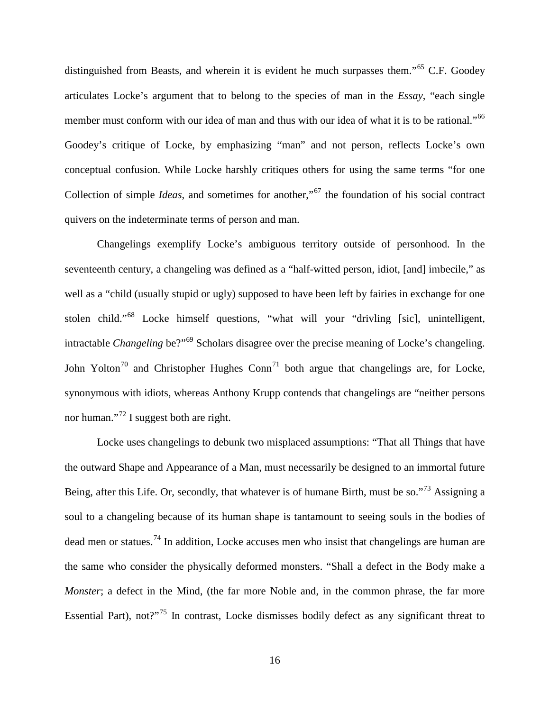distinguished from Beasts, and wherein it is evident he much surpasses them."<sup>[65](#page-36-6)</sup> C.F. Goodey articulates Locke's argument that to belong to the species of man in the *Essay*, "each single member must conform with our idea of man and thus with our idea of what it is to be rational."<sup>[66](#page-36-7)</sup> Goodey's critique of Locke, by emphasizing "man" and not person, reflects Locke's own conceptual confusion. While Locke harshly critiques others for using the same terms "for one Collection of simple *Ideas*, and sometimes for another,"<sup>[67](#page-36-8)</sup> the foundation of his social contract quivers on the indeterminate terms of person and man.

Changelings exemplify Locke's ambiguous territory outside of personhood. In the seventeenth century, a changeling was defined as a "half-witted person, idiot, [and] imbecile," as well as a "child (usually stupid or ugly) supposed to have been left by fairies in exchange for one stolen child."<sup>[68](#page-36-9)</sup> Locke himself questions, "what will your "drivling [sic], unintelligent, intractable *Changeling* be?"[69](#page-36-10) Scholars disagree over the precise meaning of Locke's changeling. John Yolton<sup>[70](#page-36-11)</sup> and Christopher Hughes Conn<sup>[71](#page-36-12)</sup> both argue that changelings are, for Locke, synonymous with idiots, whereas Anthony Krupp contends that changelings are "neither persons nor human."<sup>[72](#page-36-13)</sup> I suggest both are right.

Locke uses changelings to debunk two misplaced assumptions: "That all Things that have the outward Shape and Appearance of a Man, must necessarily be designed to an immortal future Being, after this Life. Or, secondly, that whatever is of humane Birth, must be so."<sup>[73](#page-36-14)</sup> Assigning a soul to a changeling because of its human shape is tantamount to seeing souls in the bodies of dead men or statues.[74](#page-36-15) In addition, Locke accuses men who insist that changelings are human are the same who consider the physically deformed monsters. "Shall a defect in the Body make a *Monster*; a defect in the Mind, (the far more Noble and, in the common phrase, the far more Essential Part), not?"<sup>[75](#page-36-16)</sup> In contrast, Locke dismisses bodily defect as any significant threat to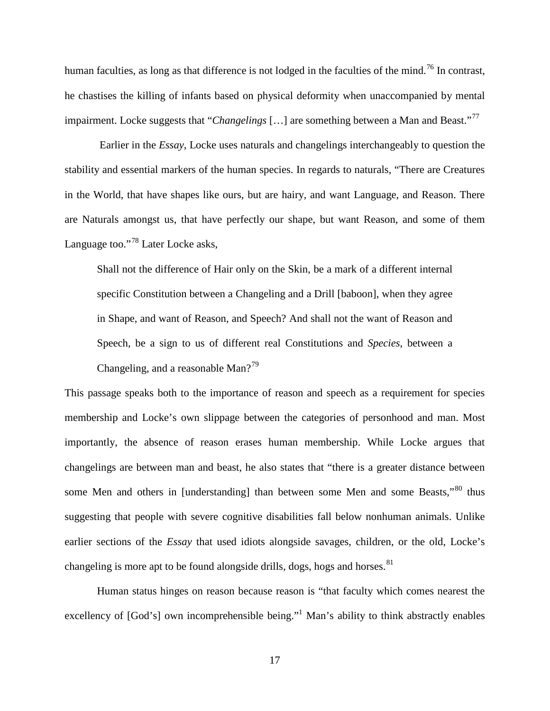human faculties, as long as that difference is not lodged in the faculties of the mind.<sup>[76](#page-36-17)</sup> In contrast, he chastises the killing of infants based on physical deformity when unaccompanied by mental impairment. Locke suggests that "*Changelings* [...] are something between a Man and Beast."<sup>[77](#page-37-0)</sup>

Earlier in the *Essay*, Locke uses naturals and changelings interchangeably to question the stability and essential markers of the human species. In regards to naturals, "There are Creatures in the World, that have shapes like ours, but are hairy, and want Language, and Reason. There are Naturals amongst us, that have perfectly our shape, but want Reason, and some of them Language too."<sup>[78](#page-37-1)</sup> Later Locke asks,

Shall not the difference of Hair only on the Skin, be a mark of a different internal specific Constitution between a Changeling and a Drill [baboon], when they agree in Shape, and want of Reason, and Speech? And shall not the want of Reason and Speech, be a sign to us of different real Constitutions and *Species*, between a Changeling, and a reasonable Man?<sup>[79](#page-37-2)</sup>

This passage speaks both to the importance of reason and speech as a requirement for species membership and Locke's own slippage between the categories of personhood and man. Most importantly, the absence of reason erases human membership. While Locke argues that changelings are between man and beast, he also states that "there is a greater distance between some Men and others in [understanding] than between some Men and some Beasts,"<sup>[80](#page-37-3)</sup> thus suggesting that people with severe cognitive disabilities fall below nonhuman animals. Unlike earlier sections of the *Essay* that used idiots alongside savages, children, or the old, Locke's changeling is more apt to be found alongside drills, dogs, hogs and horses.  $81$ 

Human status hinges on reason because reason is "that faculty which comes nearest the excellency of [God's] own incomprehensible being."<sup>1</sup> Man's ability to think abstractly enables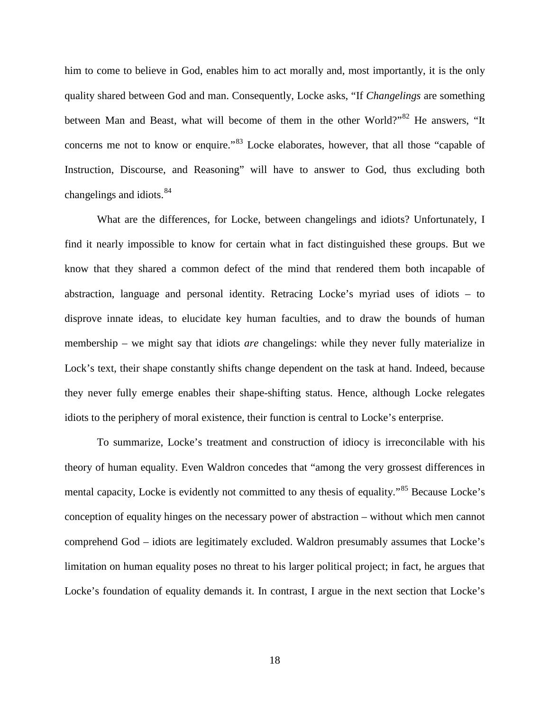him to come to believe in God, enables him to act morally and, most importantly, it is the only quality shared between God and man. Consequently, Locke asks, "If *Changelings* are something between Man and Beast, what will become of them in the other World?"<sup>[82](#page-37-5)</sup> He answers, "It concerns me not to know or enquire."<sup>[83](#page-37-6)</sup> Locke elaborates, however, that all those "capable of Instruction, Discourse, and Reasoning" will have to answer to God, thus excluding both changelings and idiots.<sup>[84](#page-37-7)</sup>

What are the differences, for Locke, between changelings and idiots? Unfortunately, I find it nearly impossible to know for certain what in fact distinguished these groups. But we know that they shared a common defect of the mind that rendered them both incapable of abstraction, language and personal identity. Retracing Locke's myriad uses of idiots – to disprove innate ideas, to elucidate key human faculties, and to draw the bounds of human membership – we might say that idiots *are* changelings: while they never fully materialize in Lock's text, their shape constantly shifts change dependent on the task at hand. Indeed, because they never fully emerge enables their shape-shifting status. Hence, although Locke relegates idiots to the periphery of moral existence, their function is central to Locke's enterprise.

To summarize, Locke's treatment and construction of idiocy is irreconcilable with his theory of human equality. Even Waldron concedes that "among the very grossest differences in mental capacity, Locke is evidently not committed to any thesis of equality."<sup>[85](#page-37-8)</sup> Because Locke's conception of equality hinges on the necessary power of abstraction – without which men cannot comprehend God – idiots are legitimately excluded. Waldron presumably assumes that Locke's limitation on human equality poses no threat to his larger political project; in fact, he argues that Locke's foundation of equality demands it. In contrast, I argue in the next section that Locke's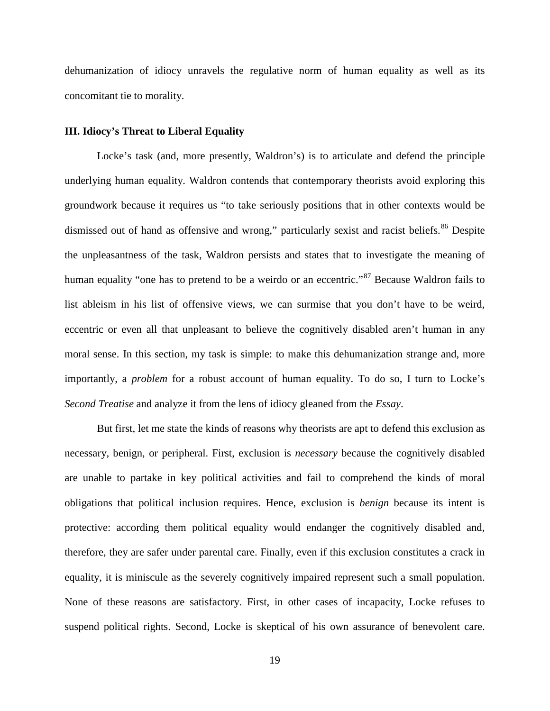dehumanization of idiocy unravels the regulative norm of human equality as well as its concomitant tie to morality.

#### **III. Idiocy's Threat to Liberal Equality**

Locke's task (and, more presently, Waldron's) is to articulate and defend the principle underlying human equality. Waldron contends that contemporary theorists avoid exploring this groundwork because it requires us "to take seriously positions that in other contexts would be dismissed out of hand as offensive and wrong," particularly sexist and racist beliefs.<sup>[86](#page-37-9)</sup> Despite the unpleasantness of the task, Waldron persists and states that to investigate the meaning of human equality "one has to pretend to be a weirdo or an eccentric."<sup>[87](#page-37-10)</sup> Because Waldron fails to list ableism in his list of offensive views, we can surmise that you don't have to be weird, eccentric or even all that unpleasant to believe the cognitively disabled aren't human in any moral sense. In this section, my task is simple: to make this dehumanization strange and, more importantly, a *problem* for a robust account of human equality. To do so, I turn to Locke's *Second Treatise* and analyze it from the lens of idiocy gleaned from the *Essay*.

But first, let me state the kinds of reasons why theorists are apt to defend this exclusion as necessary, benign, or peripheral. First, exclusion is *necessary* because the cognitively disabled are unable to partake in key political activities and fail to comprehend the kinds of moral obligations that political inclusion requires. Hence, exclusion is *benign* because its intent is protective: according them political equality would endanger the cognitively disabled and, therefore, they are safer under parental care. Finally, even if this exclusion constitutes a crack in equality, it is miniscule as the severely cognitively impaired represent such a small population. None of these reasons are satisfactory. First, in other cases of incapacity, Locke refuses to suspend political rights. Second, Locke is skeptical of his own assurance of benevolent care.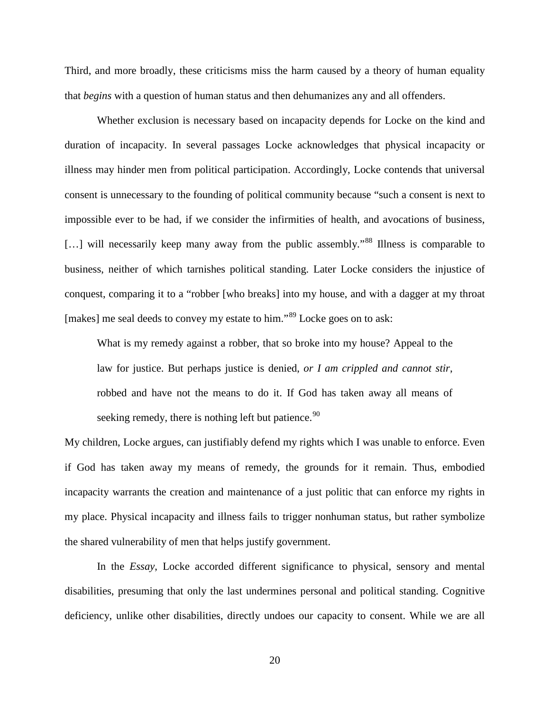Third, and more broadly, these criticisms miss the harm caused by a theory of human equality that *begins* with a question of human status and then dehumanizes any and all offenders.

Whether exclusion is necessary based on incapacity depends for Locke on the kind and duration of incapacity. In several passages Locke acknowledges that physical incapacity or illness may hinder men from political participation. Accordingly, Locke contends that universal consent is unnecessary to the founding of political community because "such a consent is next to impossible ever to be had, if we consider the infirmities of health, and avocations of business, […] will necessarily keep many away from the public assembly.<sup>[88](#page-37-11)</sup> Illness is comparable to business, neither of which tarnishes political standing. Later Locke considers the injustice of conquest, comparing it to a "robber [who breaks] into my house, and with a dagger at my throat [makes] me seal deeds to convey my estate to him."<sup>[89](#page-37-12)</sup> Locke goes on to ask:

What is my remedy against a robber, that so broke into my house? Appeal to the law for justice. But perhaps justice is denied, *or I am crippled and cannot stir*, robbed and have not the means to do it. If God has taken away all means of seeking remedy, there is nothing left but patience.<sup>[90](#page-37-13)</sup>

My children, Locke argues, can justifiably defend my rights which I was unable to enforce. Even if God has taken away my means of remedy, the grounds for it remain. Thus, embodied incapacity warrants the creation and maintenance of a just politic that can enforce my rights in my place. Physical incapacity and illness fails to trigger nonhuman status, but rather symbolize the shared vulnerability of men that helps justify government.

In the *Essay*, Locke accorded different significance to physical, sensory and mental disabilities, presuming that only the last undermines personal and political standing. Cognitive deficiency, unlike other disabilities, directly undoes our capacity to consent. While we are all

20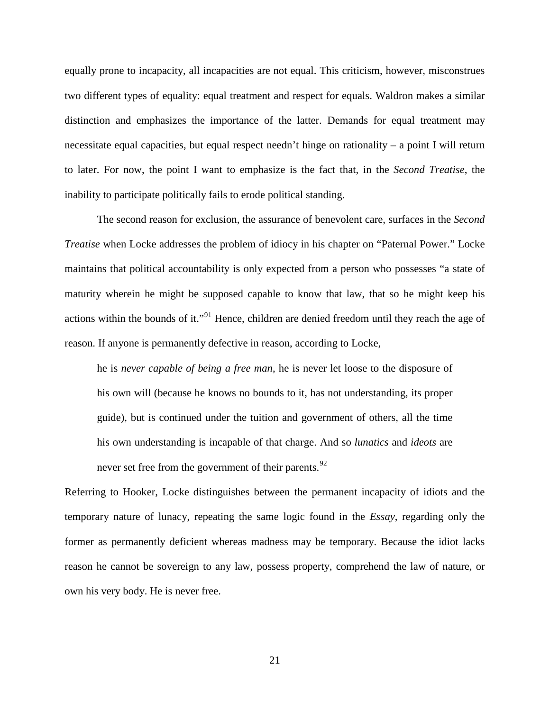equally prone to incapacity, all incapacities are not equal. This criticism, however, misconstrues two different types of equality: equal treatment and respect for equals. Waldron makes a similar distinction and emphasizes the importance of the latter. Demands for equal treatment may necessitate equal capacities, but equal respect needn't hinge on rationality – a point I will return to later. For now, the point I want to emphasize is the fact that, in the *Second Treatise*, the inability to participate politically fails to erode political standing.

The second reason for exclusion, the assurance of benevolent care, surfaces in the *Second Treatise* when Locke addresses the problem of idiocy in his chapter on "Paternal Power." Locke maintains that political accountability is only expected from a person who possesses "a state of maturity wherein he might be supposed capable to know that law, that so he might keep his actions within the bounds of it."<sup>[91](#page-37-14)</sup> Hence, children are denied freedom until they reach the age of reason. If anyone is permanently defective in reason, according to Locke,

he is *never capable of being a free man*, he is never let loose to the disposure of his own will (because he knows no bounds to it, has not understanding, its proper guide), but is continued under the tuition and government of others, all the time his own understanding is incapable of that charge. And so *lunatics* and *ideots* are never set free from the government of their parents.<sup>[92](#page-37-15)</sup>

Referring to Hooker, Locke distinguishes between the permanent incapacity of idiots and the temporary nature of lunacy, repeating the same logic found in the *Essay*, regarding only the former as permanently deficient whereas madness may be temporary. Because the idiot lacks reason he cannot be sovereign to any law, possess property, comprehend the law of nature, or own his very body. He is never free.

21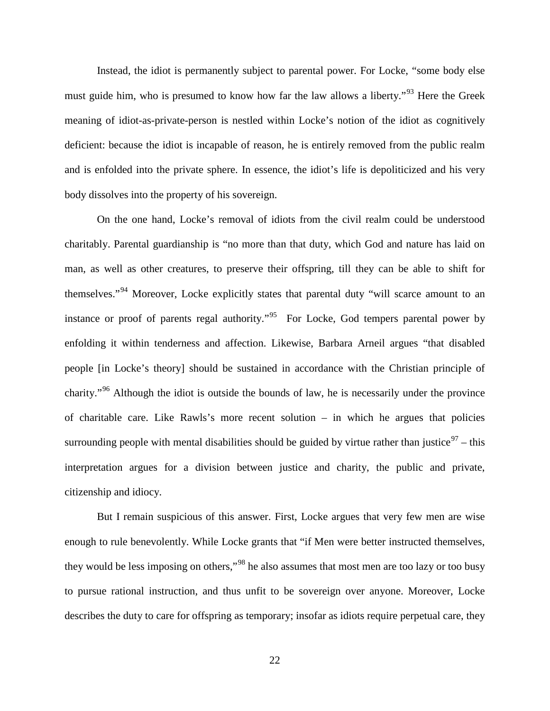Instead, the idiot is permanently subject to parental power. For Locke, "some body else must guide him, who is presumed to know how far the law allows a liberty."<sup>[93](#page-37-16)</sup> Here the Greek meaning of idiot-as-private-person is nestled within Locke's notion of the idiot as cognitively deficient: because the idiot is incapable of reason, he is entirely removed from the public realm and is enfolded into the private sphere. In essence, the idiot's life is depoliticized and his very body dissolves into the property of his sovereign.

On the one hand, Locke's removal of idiots from the civil realm could be understood charitably. Parental guardianship is "no more than that duty, which God and nature has laid on man, as well as other creatures, to preserve their offspring, till they can be able to shift for themselves."<sup>[94](#page-37-17)</sup> Moreover, Locke explicitly states that parental duty "will scarce amount to an instance or proof of parents regal authority."<sup>[95](#page-37-18)</sup> For Locke, God tempers parental power by enfolding it within tenderness and affection. Likewise, Barbara Arneil argues "that disabled people [in Locke's theory] should be sustained in accordance with the Christian principle of charity."[96](#page-37-19) Although the idiot is outside the bounds of law, he is necessarily under the province of charitable care. Like Rawls's more recent solution – in which he argues that policies surrounding people with mental disabilities should be guided by virtue rather than justice<sup>[97](#page-37-20)</sup> – this interpretation argues for a division between justice and charity, the public and private, citizenship and idiocy.

But I remain suspicious of this answer. First, Locke argues that very few men are wise enough to rule benevolently. While Locke grants that "if Men were better instructed themselves, they would be less imposing on others,"<sup>[98](#page-37-21)</sup> he also assumes that most men are too lazy or too busy to pursue rational instruction, and thus unfit to be sovereign over anyone. Moreover, Locke describes the duty to care for offspring as temporary; insofar as idiots require perpetual care, they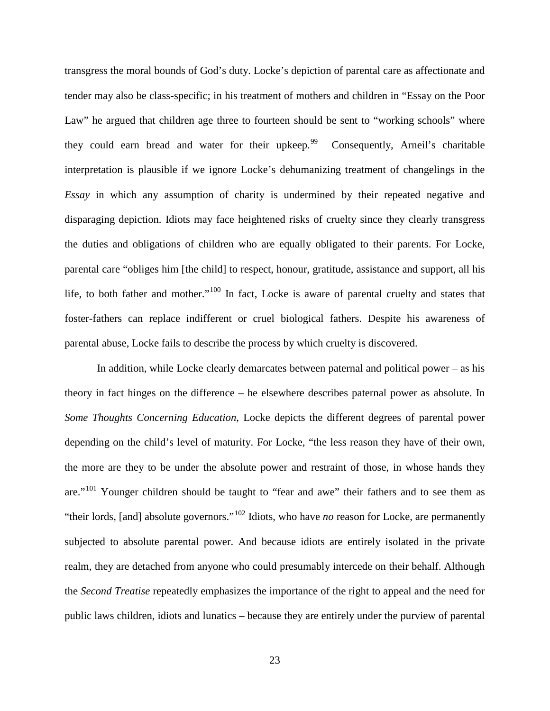transgress the moral bounds of God's duty. Locke's depiction of parental care as affectionate and tender may also be class-specific; in his treatment of mothers and children in "Essay on the Poor Law" he argued that children age three to fourteen should be sent to "working schools" where they could earn bread and water for their upkeep.<sup>[99](#page-38-0)</sup> Consequently, Arneil's charitable interpretation is plausible if we ignore Locke's dehumanizing treatment of changelings in the *Essay* in which any assumption of charity is undermined by their repeated negative and disparaging depiction. Idiots may face heightened risks of cruelty since they clearly transgress the duties and obligations of children who are equally obligated to their parents. For Locke, parental care "obliges him [the child] to respect, honour, gratitude, assistance and support, all his life, to both father and mother."<sup>[100](#page-38-1)</sup> In fact, Locke is aware of parental cruelty and states that foster-fathers can replace indifferent or cruel biological fathers. Despite his awareness of parental abuse, Locke fails to describe the process by which cruelty is discovered.

In addition, while Locke clearly demarcates between paternal and political power  $-$  as his theory in fact hinges on the difference – he elsewhere describes paternal power as absolute. In *Some Thoughts Concerning Education*, Locke depicts the different degrees of parental power depending on the child's level of maturity. For Locke, "the less reason they have of their own, the more are they to be under the absolute power and restraint of those, in whose hands they are."<sup>[101](#page-38-2)</sup> Younger children should be taught to "fear and awe" their fathers and to see them as "their lords, [and] absolute governors."[102](#page-38-3) Idiots, who have *no* reason for Locke, are permanently subjected to absolute parental power. And because idiots are entirely isolated in the private realm, they are detached from anyone who could presumably intercede on their behalf. Although the *Second Treatise* repeatedly emphasizes the importance of the right to appeal and the need for public laws children, idiots and lunatics – because they are entirely under the purview of parental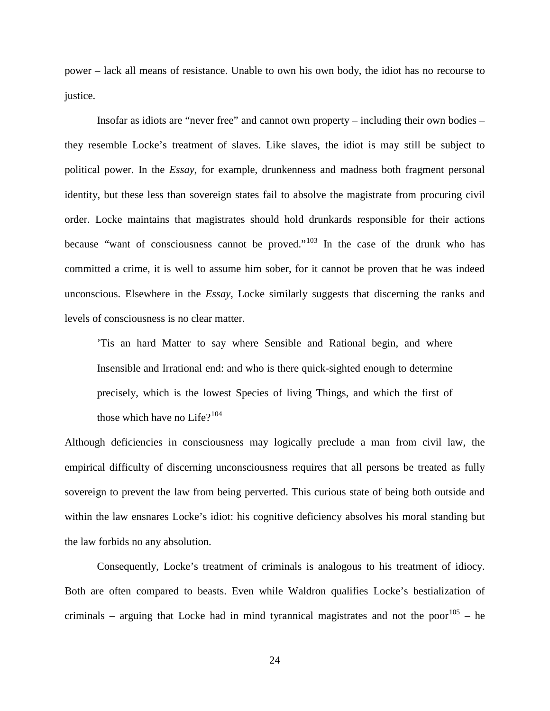power – lack all means of resistance. Unable to own his own body, the idiot has no recourse to justice.

Insofar as idiots are "never free" and cannot own property – including their own bodies – they resemble Locke's treatment of slaves. Like slaves, the idiot is may still be subject to political power. In the *Essay*, for example, drunkenness and madness both fragment personal identity, but these less than sovereign states fail to absolve the magistrate from procuring civil order. Locke maintains that magistrates should hold drunkards responsible for their actions because "want of consciousness cannot be proved."<sup>[103](#page-38-4)</sup> In the case of the drunk who has committed a crime, it is well to assume him sober, for it cannot be proven that he was indeed unconscious. Elsewhere in the *Essay*, Locke similarly suggests that discerning the ranks and levels of consciousness is no clear matter.

'Tis an hard Matter to say where Sensible and Rational begin, and where Insensible and Irrational end: and who is there quick-sighted enough to determine precisely, which is the lowest Species of living Things, and which the first of those which have no Life $?^{104}$  $?^{104}$  $?^{104}$ 

Although deficiencies in consciousness may logically preclude a man from civil law, the empirical difficulty of discerning unconsciousness requires that all persons be treated as fully sovereign to prevent the law from being perverted. This curious state of being both outside and within the law ensnares Locke's idiot: his cognitive deficiency absolves his moral standing but the law forbids no any absolution.

Consequently, Locke's treatment of criminals is analogous to his treatment of idiocy. Both are often compared to beasts. Even while Waldron qualifies Locke's bestialization of criminals – arguing that Locke had in mind tyrannical magistrates and not the poor<sup>[105](#page-38-6)</sup> – he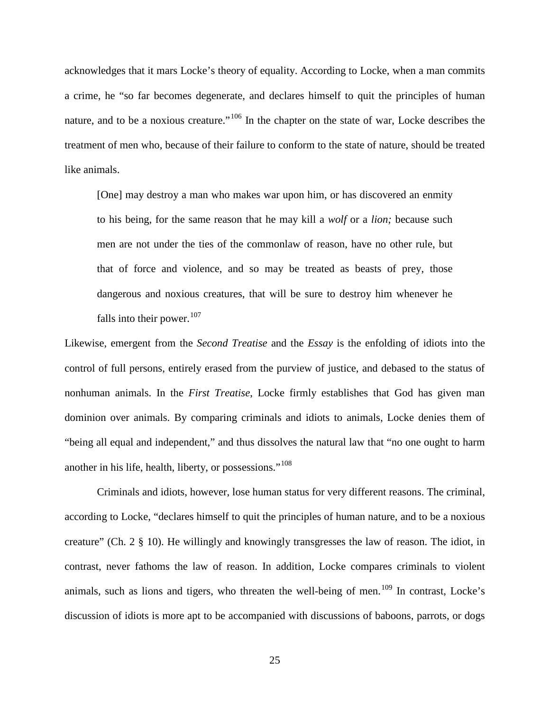acknowledges that it mars Locke's theory of equality. According to Locke, when a man commits a crime, he "so far becomes degenerate, and declares himself to quit the principles of human nature, and to be a noxious creature."<sup>[106](#page-38-7)</sup> In the chapter on the state of war, Locke describes the treatment of men who, because of their failure to conform to the state of nature, should be treated like animals.

[One] may destroy a man who makes war upon him, or has discovered an enmity to his being, for the same reason that he may kill a *wolf* or a *lion;* because such men are not under the ties of the commonlaw of reason, have no other rule, but that of force and violence, and so may be treated as beasts of prey, those dangerous and noxious creatures, that will be sure to destroy him whenever he falls into their power.<sup>[107](#page-38-8)</sup>

Likewise, emergent from the *Second Treatise* and the *Essay* is the enfolding of idiots into the control of full persons, entirely erased from the purview of justice, and debased to the status of nonhuman animals. In the *First Treatise*, Locke firmly establishes that God has given man dominion over animals. By comparing criminals and idiots to animals, Locke denies them of "being all equal and independent," and thus dissolves the natural law that "no one ought to harm another in his life, health, liberty, or possessions."<sup>[108](#page-38-9)</sup>

Criminals and idiots, however, lose human status for very different reasons. The criminal, according to Locke, "declares himself to quit the principles of human nature, and to be a noxious creature" (Ch. 2 § 10). He willingly and knowingly transgresses the law of reason. The idiot, in contrast, never fathoms the law of reason. In addition, Locke compares criminals to violent animals, such as lions and tigers, who threaten the well-being of men.<sup>[109](#page-38-10)</sup> In contrast, Locke's discussion of idiots is more apt to be accompanied with discussions of baboons, parrots, or dogs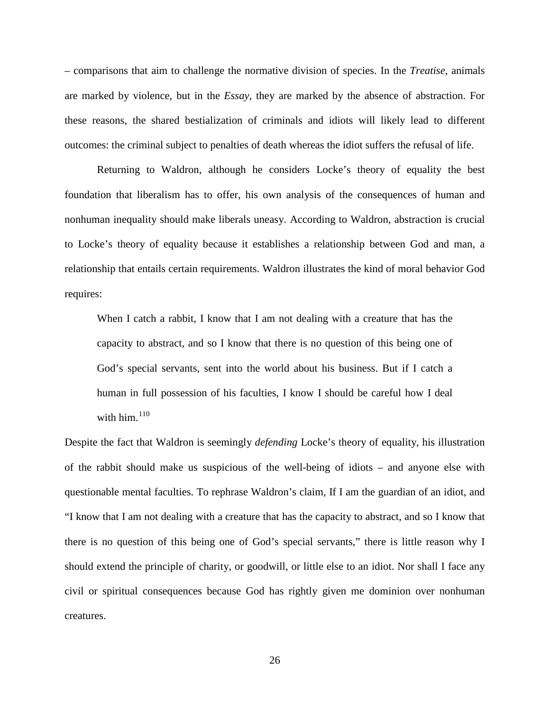– comparisons that aim to challenge the normative division of species. In the *Treatise*, animals are marked by violence, but in the *Essay*, they are marked by the absence of abstraction. For these reasons, the shared bestialization of criminals and idiots will likely lead to different outcomes: the criminal subject to penalties of death whereas the idiot suffers the refusal of life.

Returning to Waldron, although he considers Locke's theory of equality the best foundation that liberalism has to offer, his own analysis of the consequences of human and nonhuman inequality should make liberals uneasy. According to Waldron, abstraction is crucial to Locke's theory of equality because it establishes a relationship between God and man, a relationship that entails certain requirements. Waldron illustrates the kind of moral behavior God requires:

When I catch a rabbit, I know that I am not dealing with a creature that has the capacity to abstract, and so I know that there is no question of this being one of God's special servants, sent into the world about his business. But if I catch a human in full possession of his faculties, I know I should be careful how I deal with him. $110$ 

Despite the fact that Waldron is seemingly *defending* Locke's theory of equality, his illustration of the rabbit should make us suspicious of the well-being of idiots – and anyone else with questionable mental faculties. To rephrase Waldron's claim, If I am the guardian of an idiot, and "I know that I am not dealing with a creature that has the capacity to abstract, and so I know that there is no question of this being one of God's special servants," there is little reason why I should extend the principle of charity, or goodwill, or little else to an idiot. Nor shall I face any civil or spiritual consequences because God has rightly given me dominion over nonhuman creatures.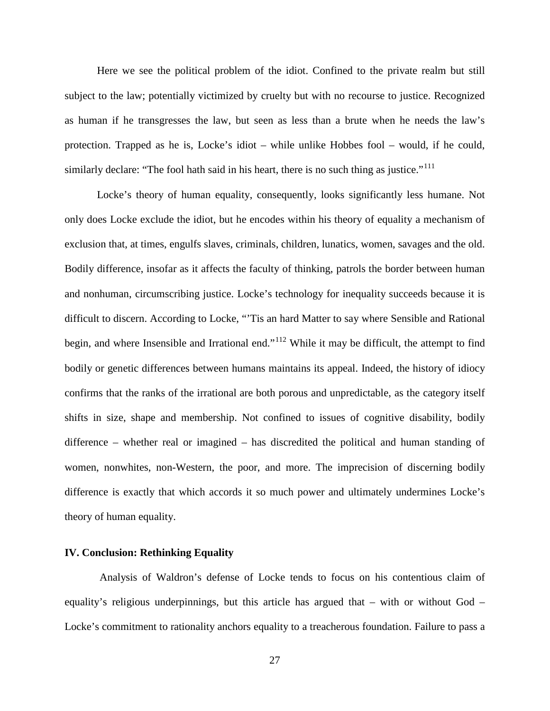Here we see the political problem of the idiot. Confined to the private realm but still subject to the law; potentially victimized by cruelty but with no recourse to justice. Recognized as human if he transgresses the law, but seen as less than a brute when he needs the law's protection. Trapped as he is, Locke's idiot – while unlike Hobbes fool – would, if he could, similarly declare: "The fool hath said in his heart, there is no such thing as justice."<sup>[111](#page-38-12)</sup>

Locke's theory of human equality, consequently, looks significantly less humane. Not only does Locke exclude the idiot, but he encodes within his theory of equality a mechanism of exclusion that, at times, engulfs slaves, criminals, children, lunatics, women, savages and the old. Bodily difference, insofar as it affects the faculty of thinking, patrols the border between human and nonhuman, circumscribing justice. Locke's technology for inequality succeeds because it is difficult to discern. According to Locke, "'Tis an hard Matter to say where Sensible and Rational begin, and where Insensible and Irrational end."<sup>[112](#page-38-13)</sup> While it may be difficult, the attempt to find bodily or genetic differences between humans maintains its appeal. Indeed, the history of idiocy confirms that the ranks of the irrational are both porous and unpredictable, as the category itself shifts in size, shape and membership. Not confined to issues of cognitive disability, bodily difference – whether real or imagined – has discredited the political and human standing of women, nonwhites, non-Western, the poor, and more. The imprecision of discerning bodily difference is exactly that which accords it so much power and ultimately undermines Locke's theory of human equality.

#### **IV. Conclusion: Rethinking Equality**

Analysis of Waldron's defense of Locke tends to focus on his contentious claim of equality's religious underpinnings, but this article has argued that – with or without God – Locke's commitment to rationality anchors equality to a treacherous foundation. Failure to pass a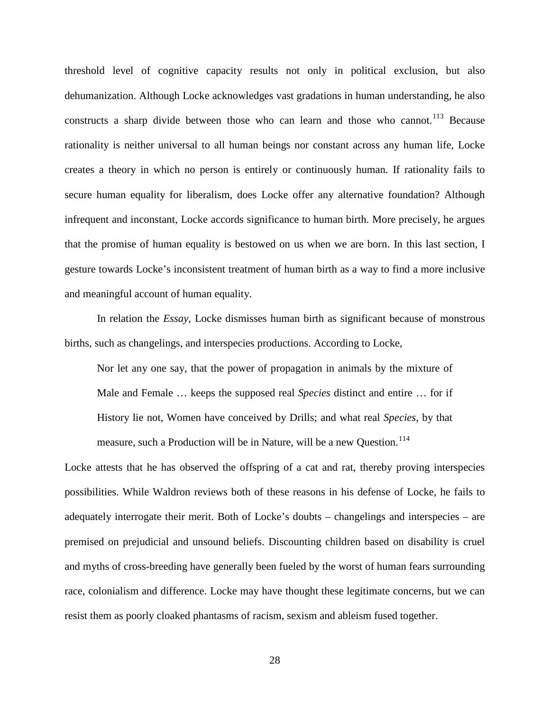threshold level of cognitive capacity results not only in political exclusion, but also dehumanization. Although Locke acknowledges vast gradations in human understanding, he also constructs a sharp divide between those who can learn and those who cannot.<sup>[113](#page-38-14)</sup> Because rationality is neither universal to all human beings nor constant across any human life, Locke creates a theory in which no person is entirely or continuously human. If rationality fails to secure human equality for liberalism, does Locke offer any alternative foundation? Although infrequent and inconstant, Locke accords significance to human birth. More precisely, he argues that the promise of human equality is bestowed on us when we are born. In this last section, I gesture towards Locke's inconsistent treatment of human birth as a way to find a more inclusive and meaningful account of human equality.

In relation the *Essay*, Locke dismisses human birth as significant because of monstrous births, such as changelings, and interspecies productions. According to Locke,

Nor let any one say, that the power of propagation in animals by the mixture of Male and Female … keeps the supposed real *Species* distinct and entire … for if History lie not, Women have conceived by Drills; and what real *Species*, by that measure, such a Production will be in Nature, will be a new Question.<sup>[114](#page-38-15)</sup>

Locke attests that he has observed the offspring of a cat and rat, thereby proving interspecies possibilities. While Waldron reviews both of these reasons in his defense of Locke, he fails to adequately interrogate their merit. Both of Locke's doubts – changelings and interspecies – are premised on prejudicial and unsound beliefs. Discounting children based on disability is cruel and myths of cross-breeding have generally been fueled by the worst of human fears surrounding race, colonialism and difference. Locke may have thought these legitimate concerns, but we can resist them as poorly cloaked phantasms of racism, sexism and ableism fused together.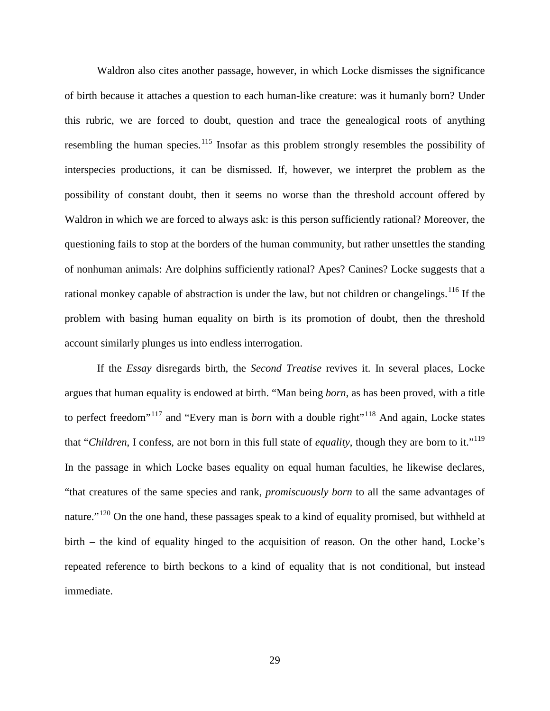Waldron also cites another passage, however, in which Locke dismisses the significance of birth because it attaches a question to each human-like creature: was it humanly born? Under this rubric, we are forced to doubt, question and trace the genealogical roots of anything resembling the human species.<sup>[115](#page-39-0)</sup> Insofar as this problem strongly resembles the possibility of interspecies productions, it can be dismissed. If, however, we interpret the problem as the possibility of constant doubt, then it seems no worse than the threshold account offered by Waldron in which we are forced to always ask: is this person sufficiently rational? Moreover, the questioning fails to stop at the borders of the human community, but rather unsettles the standing of nonhuman animals: Are dolphins sufficiently rational? Apes? Canines? Locke suggests that a rational monkey capable of abstraction is under the law, but not children or changelings. <sup>[116](#page-39-1)</sup> If the problem with basing human equality on birth is its promotion of doubt, then the threshold account similarly plunges us into endless interrogation.

If the *Essay* disregards birth, the *Second Treatise* revives it. In several places, Locke argues that human equality is endowed at birth. "Man being *born*, as has been proved, with a title to perfect freedom<sup>"[117](#page-39-2)</sup> and "Every man is *born* with a double right"<sup>[118](#page-39-3)</sup> And again, Locke states that "*Children*, I confess, are not born in this full state of *equality*, though they are born to it."[119](#page-39-4) In the passage in which Locke bases equality on equal human faculties, he likewise declares, "that creatures of the same species and rank, *promiscuously born* to all the same advantages of nature."<sup>[120](#page-39-5)</sup> On the one hand, these passages speak to a kind of equality promised, but withheld at birth – the kind of equality hinged to the acquisition of reason. On the other hand, Locke's repeated reference to birth beckons to a kind of equality that is not conditional, but instead immediate.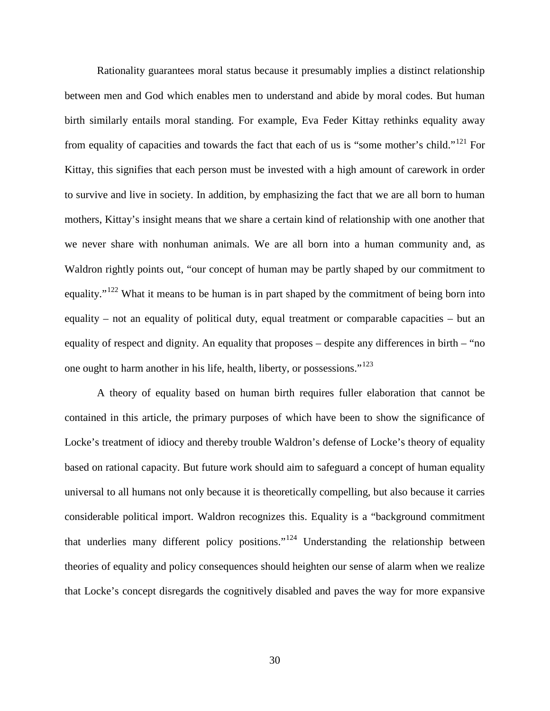Rationality guarantees moral status because it presumably implies a distinct relationship between men and God which enables men to understand and abide by moral codes. But human birth similarly entails moral standing. For example, Eva Feder Kittay rethinks equality away from equality of capacities and towards the fact that each of us is "some mother's child."[121](#page-39-6) For Kittay, this signifies that each person must be invested with a high amount of carework in order to survive and live in society. In addition, by emphasizing the fact that we are all born to human mothers, Kittay's insight means that we share a certain kind of relationship with one another that we never share with nonhuman animals. We are all born into a human community and, as Waldron rightly points out, "our concept of human may be partly shaped by our commitment to equality."<sup>[122](#page-39-7)</sup> What it means to be human is in part shaped by the commitment of being born into equality – not an equality of political duty, equal treatment or comparable capacities – but an equality of respect and dignity. An equality that proposes – despite any differences in birth – "no one ought to harm another in his life, health, liberty, or possessions."<sup>[123](#page-39-8)</sup>

A theory of equality based on human birth requires fuller elaboration that cannot be contained in this article, the primary purposes of which have been to show the significance of Locke's treatment of idiocy and thereby trouble Waldron's defense of Locke's theory of equality based on rational capacity. But future work should aim to safeguard a concept of human equality universal to all humans not only because it is theoretically compelling, but also because it carries considerable political import. Waldron recognizes this. Equality is a "background commitment that underlies many different policy positions."[124](#page-39-9) Understanding the relationship between theories of equality and policy consequences should heighten our sense of alarm when we realize that Locke's concept disregards the cognitively disabled and paves the way for more expansive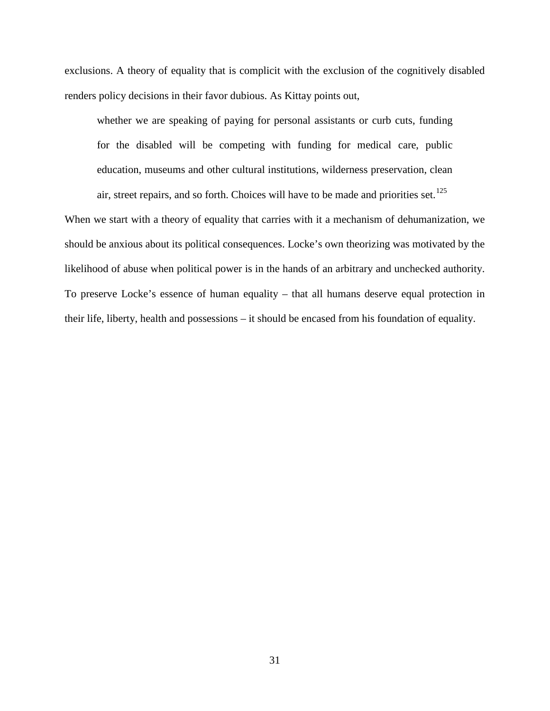exclusions. A theory of equality that is complicit with the exclusion of the cognitively disabled renders policy decisions in their favor dubious. As Kittay points out,

whether we are speaking of paying for personal assistants or curb cuts, funding for the disabled will be competing with funding for medical care, public education, museums and other cultural institutions, wilderness preservation, clean air, street repairs, and so forth. Choices will have to be made and priorities set.<sup>[125](#page-39-10)</sup>

When we start with a theory of equality that carries with it a mechanism of dehumanization, we should be anxious about its political consequences. Locke's own theorizing was motivated by the likelihood of abuse when political power is in the hands of an arbitrary and unchecked authority. To preserve Locke's essence of human equality – that all humans deserve equal protection in their life, liberty, health and possessions – it should be encased from his foundation of equality.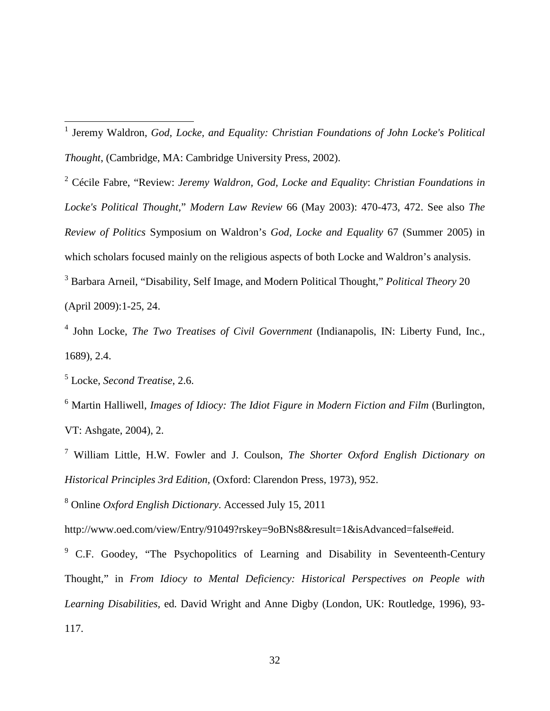<span id="page-32-0"></span> 1 Jeremy Waldron, *God, Locke, and Equality: Christian Foundations of John Locke's Political Thought*, (Cambridge, MA: Cambridge University Press, 2002).

<span id="page-32-1"></span><sup>2</sup> Cécile Fabre, "Review: *Jeremy Waldron, God, Locke and Equality*: *Christian Foundations in Locke's Political Thought*," *Modern Law Review* 66 (May 2003): 470-473, 472. See also *The Review of Politics* Symposium on Waldron's *God, Locke and Equality* 67 (Summer 2005) in which scholars focused mainly on the religious aspects of both Locke and Waldron's analysis. <sup>3</sup> Barbara Arneil, "Disability, Self Image, and Modern Political Thought," *Political Theory* 20

<span id="page-32-2"></span>(April 2009):1-25, 24.

<span id="page-32-3"></span><sup>4</sup> John Locke, *The Two Treatises of Civil Government* (Indianapolis, IN: Liberty Fund, Inc., 1689), 2.4.

<span id="page-32-4"></span><sup>5</sup> Locke, *Second Treatise*, 2.6.

<span id="page-32-5"></span><sup>6</sup> Martin Halliwell, *Images of Idiocy: The Idiot Figure in Modern Fiction and Film* (Burlington, VT: Ashgate, 2004), 2.

<span id="page-32-6"></span><sup>7</sup> William Little, H.W. Fowler and J. Coulson, *The Shorter Oxford English Dictionary on Historical Principles 3rd Edition,* (Oxford: Clarendon Press, 1973), 952.

<span id="page-32-7"></span><sup>8</sup> Online *Oxford English Dictionary*. Accessed July 15, 2011

http://www.oed.com/view/Entry/91049?rskey=9oBNs8&result=1&isAdvanced=false#eid.

<span id="page-32-8"></span><sup>9</sup> C.F. Goodey, "The Psychopolitics of Learning and Disability in Seventeenth-Century Thought," in *From Idiocy to Mental Deficiency: Historical Perspectives on People with Learning Disabilities,* ed. David Wright and Anne Digby (London, UK: Routledge, 1996), 93- 117.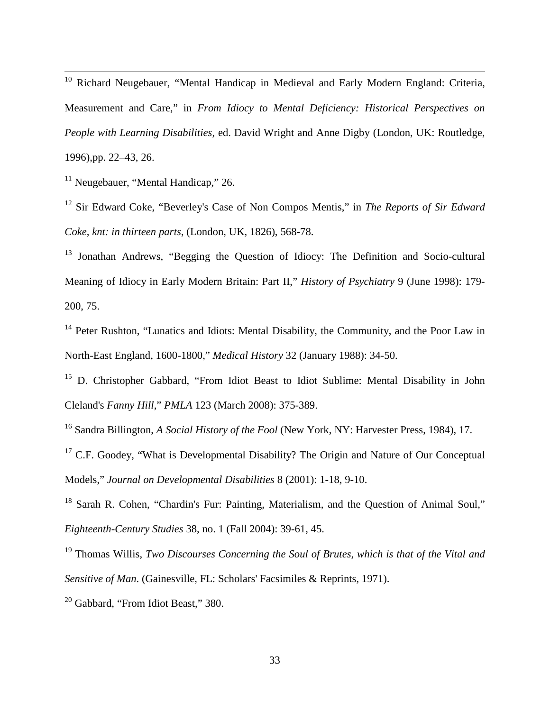<span id="page-33-0"></span><sup>10</sup> Richard Neugebauer, "Mental Handicap in Medieval and Early Modern England: Criteria, Measurement and Care," in *From Idiocy to Mental Deficiency: Historical Perspectives on People with Learning Disabilities,* ed. David Wright and Anne Digby (London, UK: Routledge, 1996),pp. 22–43, 26.

<span id="page-33-1"></span> $11$  Neugebauer, "Mental Handicap," 26.

<span id="page-33-2"></span><sup>12</sup> Sir Edward Coke, "Beverley's Case of Non Compos Mentis," in *The Reports of Sir Edward Coke, knt: in thirteen parts*, (London, UK, 1826), 568-78.

<span id="page-33-3"></span><sup>13</sup> Jonathan Andrews, "Begging the Question of Idiocy: The Definition and Socio-cultural Meaning of Idiocy in Early Modern Britain: Part II," *History of Psychiatry* 9 (June 1998): 179- 200, 75.

<span id="page-33-4"></span><sup>14</sup> Peter Rushton, "Lunatics and Idiots: Mental Disability, the Community, and the Poor Law in North-East England, 1600-1800," *Medical History* 32 (January 1988): 34-50.

<span id="page-33-5"></span><sup>15</sup> D. Christopher Gabbard, "From Idiot Beast to Idiot Sublime: Mental Disability in John Cleland's *Fanny Hill*," *PMLA* 123 (March 2008): 375-389.

<span id="page-33-6"></span><sup>16</sup> Sandra Billington, *A Social History of the Fool* (New York, NY: Harvester Press, 1984), 17.

<span id="page-33-7"></span><sup>17</sup> C.F. Goodey, "What is Developmental Disability? The Origin and Nature of Our Conceptual Models," *Journal on Developmental Disabilities* 8 (2001): 1-18, 9-10.

<span id="page-33-8"></span><sup>18</sup> Sarah R. Cohen, "Chardin's Fur: Painting, Materialism, and the Question of Animal Soul," *Eighteenth-Century Studies* 38, no. 1 (Fall 2004): 39-61, 45.

<span id="page-33-9"></span><sup>19</sup> Thomas Willis, *Two Discourses Concerning the Soul of Brutes, which is that of the Vital and Sensitive of Man*. (Gainesville, FL: Scholars' Facsimiles & Reprints, 1971).

<span id="page-33-10"></span><sup>20</sup> Gabbard, "From Idiot Beast," 380.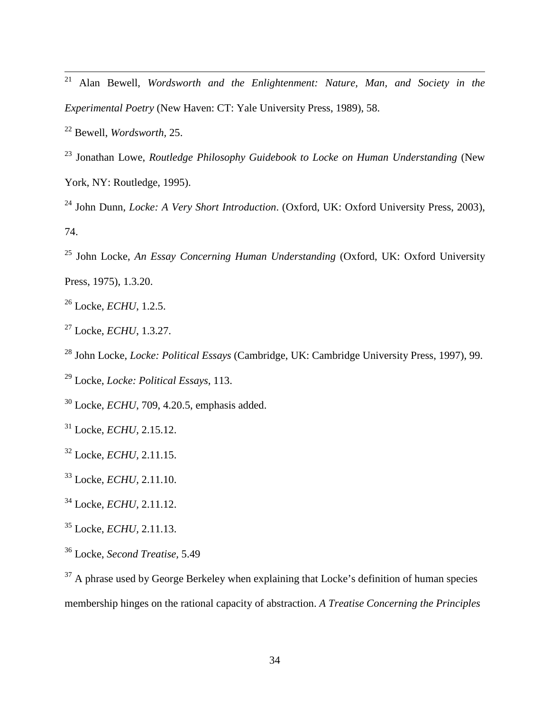<span id="page-34-0"></span> Alan Bewell, *Wordsworth and the Enlightenment: Nature, Man, and Society in the Experimental Poetry* (New Haven: CT: Yale University Press, 1989), 58.

<span id="page-34-1"></span>Bewell, *Wordsworth,* 25.

<span id="page-34-2"></span> Jonathan Lowe, *Routledge Philosophy Guidebook to Locke on Human Understanding* (New York, NY: Routledge, 1995).

<span id="page-34-3"></span> John Dunn, *Locke: A Very Short Introduction*. (Oxford, UK: Oxford University Press, 2003), 74.

<span id="page-34-4"></span> John Locke, *An Essay Concerning Human Understanding* (Oxford, UK: Oxford University Press, 1975), 1.3.20.

<span id="page-34-5"></span>Locke, *ECHU*, 1.2.5.

<span id="page-34-6"></span>Locke, *ECHU*, 1.3.27.

<span id="page-34-7"></span>John Locke, *Locke: Political Essays* (Cambridge, UK: Cambridge University Press, 1997), 99.

<span id="page-34-8"></span>Locke, *Locke: Political Essays*, 113.

<span id="page-34-9"></span>Locke, *ECHU*, 709, 4.20.5, emphasis added.

<span id="page-34-10"></span>Locke, *ECHU,* 2.15.12.

<span id="page-34-11"></span>Locke, *ECHU,* 2.11.15.

<span id="page-34-12"></span>Locke, *ECHU,* 2.11.10.

<span id="page-34-13"></span>Locke, *ECHU,* 2.11.12.

<span id="page-34-14"></span>Locke, *ECHU,* 2.11.13.

<span id="page-34-15"></span>Locke, *Second Treatise,* 5.49

<span id="page-34-16"></span><sup>37</sup> A phrase used by George Berkeley when explaining that Locke's definition of human species membership hinges on the rational capacity of abstraction. *A Treatise Concerning the Principles*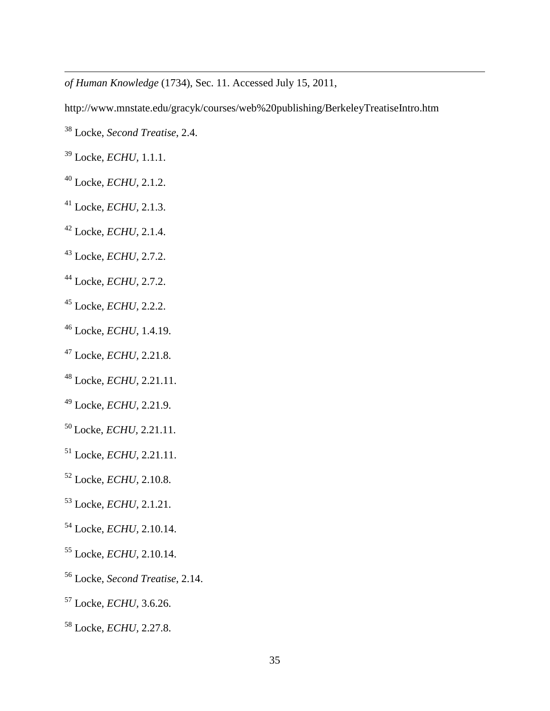*of Human Knowledge* (1734), Sec. 11. Accessed July 15, 2011,

http://www.mnstate.edu/gracyk/courses/web%20publishing/BerkeleyTreatiseIntro.htm

- <span id="page-35-0"></span>Locke, *Second Treatise*, 2.4.
- <span id="page-35-1"></span>Locke, *ECHU,* 1.1.1.

 $\overline{a}$ 

- <span id="page-35-2"></span>Locke, *ECHU,* 2.1.2.
- <span id="page-35-3"></span>Locke, *ECHU,* 2.1.3.
- <span id="page-35-4"></span>Locke, *ECHU,* 2.1.4.
- <span id="page-35-5"></span>Locke, *ECHU,* 2.7.2.
- <span id="page-35-6"></span>Locke, *ECHU,* 2.7.2.
- <span id="page-35-7"></span>Locke, *ECHU,* 2.2.2.
- <span id="page-35-8"></span>Locke, *ECHU,* 1.4.19.
- <span id="page-35-9"></span>Locke, *ECHU,* 2.21.8.
- <span id="page-35-10"></span>Locke, *ECHU,* 2.21.11.
- <span id="page-35-11"></span>Locke, *ECHU,* 2.21.9.
- <span id="page-35-12"></span>Locke, *ECHU,* 2.21.11.
- <span id="page-35-13"></span>Locke, *ECHU,* 2.21.11.
- <span id="page-35-14"></span>Locke, *ECHU,* 2.10.8.
- <span id="page-35-15"></span>Locke, *ECHU,* 2.1.21.
- <span id="page-35-16"></span>Locke, *ECHU,* 2.10.14.
- <span id="page-35-17"></span>Locke, *ECHU,* 2.10.14.
- <span id="page-35-18"></span>Locke, *Second Treatise*, 2.14.
- <span id="page-35-19"></span>Locke, *ECHU,* 3.6.26.
- <span id="page-35-20"></span>Locke, *ECHU,* 2.27.8.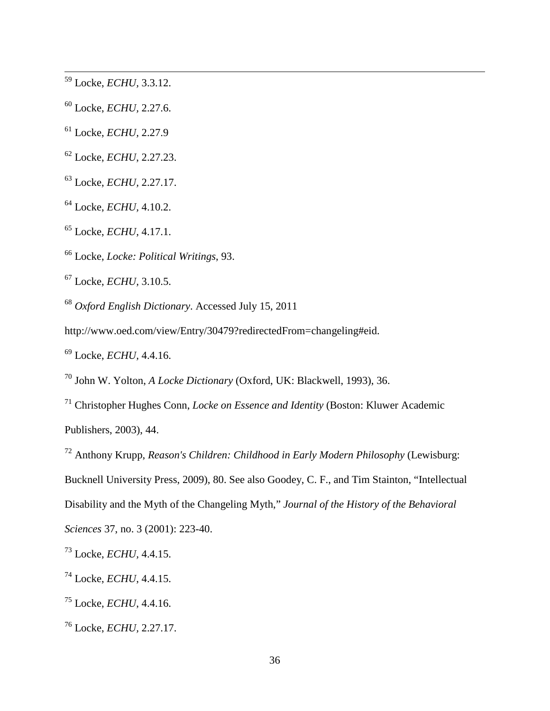<span id="page-36-0"></span>Locke, *ECHU,* 3.3.12.

<span id="page-36-1"></span>Locke, *ECHU,* 2.27.6.

<span id="page-36-2"></span>Locke, *ECHU,* 2.27.9

<span id="page-36-3"></span>Locke, *ECHU*, 2.27.23.

<span id="page-36-4"></span>Locke, *ECHU,* 2.27.17.

<span id="page-36-5"></span>Locke, *ECHU,* 4.10.2.

<span id="page-36-6"></span>Locke, *ECHU,* 4.17.1.

<span id="page-36-7"></span>Locke, *Locke: Political Writings*, 93.

<span id="page-36-8"></span>Locke, *ECHU,* 3.10.5.

<span id="page-36-9"></span>*Oxford English Dictionary*. Accessed July 15, 2011

http://www.oed.com/view/Entry/30479?redirectedFrom=changeling#eid.

<span id="page-36-10"></span>Locke, *ECHU,* 4.4.16.

<span id="page-36-11"></span>John W. Yolton, *A Locke Dictionary* (Oxford, UK: Blackwell, 1993), 36.

<span id="page-36-12"></span> Christopher Hughes Conn, *Locke on Essence and Identity* (Boston: Kluwer Academic Publishers, 2003), 44.

<span id="page-36-13"></span>Anthony Krupp, *Reason's Children: Childhood in Early Modern Philosophy* (Lewisburg:

Bucknell University Press, 2009), 80. See also Goodey, C. F., and Tim Stainton, "Intellectual

Disability and the Myth of the Changeling Myth," *Journal of the History of the Behavioral* 

*Sciences* 37, no. 3 (2001): 223-40.

<span id="page-36-14"></span>Locke, *ECHU,* 4.4.15.

<span id="page-36-15"></span>Locke, *ECHU*, 4.4.15.

<span id="page-36-16"></span>Locke, *ECHU*, 4.4.16.

<span id="page-36-17"></span>Locke, *ECHU,* 2.27.17.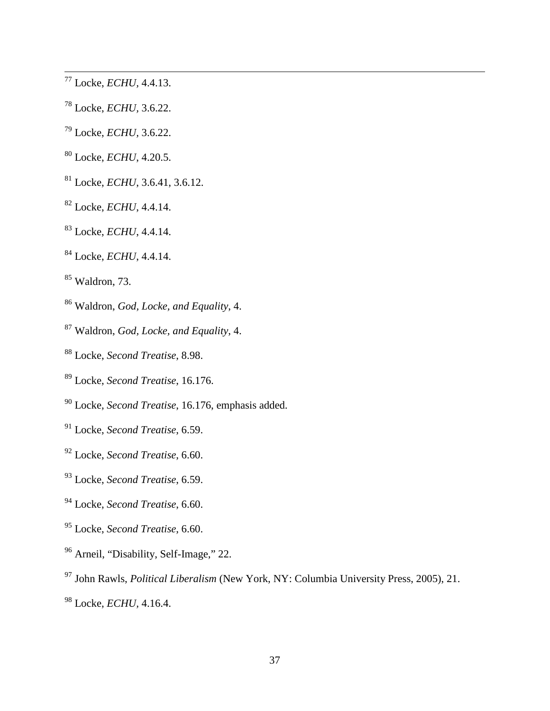<span id="page-37-0"></span>Locke, *ECHU,* 4.4.13.

- <span id="page-37-1"></span>Locke, *ECHU,* 3.6.22.
- <span id="page-37-2"></span>Locke, *ECHU,* 3.6.22.
- <span id="page-37-3"></span>Locke, *ECHU*, 4.20.5.
- <span id="page-37-4"></span>Locke, *ECHU*, 3.6.41, 3.6.12.
- <span id="page-37-5"></span>Locke, *ECHU*, 4.4.14.
- <span id="page-37-6"></span>Locke, *ECHU*, 4.4.14.
- <span id="page-37-7"></span>Locke, *ECHU*, 4.4.14.
- <span id="page-37-8"></span>Waldron, 73.
- <span id="page-37-9"></span>Waldron, *God, Locke, and Equality*, 4.
- <span id="page-37-10"></span>Waldron, *God, Locke, and Equality*, 4.
- <span id="page-37-11"></span>Locke, *Second Treatise*, 8.98.
- <span id="page-37-12"></span>Locke, *Second Treatise*, 16.176.
- <span id="page-37-13"></span>Locke, *Second Treatise*, 16.176, emphasis added.
- <span id="page-37-14"></span>Locke, *Second Treatise*, 6.59.
- <span id="page-37-15"></span>Locke, *Second Treatise*, 6.60.
- <span id="page-37-16"></span>Locke, *Second Treatise*, 6.59.
- <span id="page-37-17"></span>Locke, *Second Treatise*, 6.60.
- <span id="page-37-18"></span>Locke, *Second Treatise*, 6.60.
- <span id="page-37-19"></span>Arneil, "Disability, Self-Image," 22.
- <span id="page-37-20"></span>John Rawls, *Political Liberalism* (New York, NY: Columbia University Press, 2005), 21.
- <span id="page-37-21"></span>Locke, *ECHU,* 4.16.4.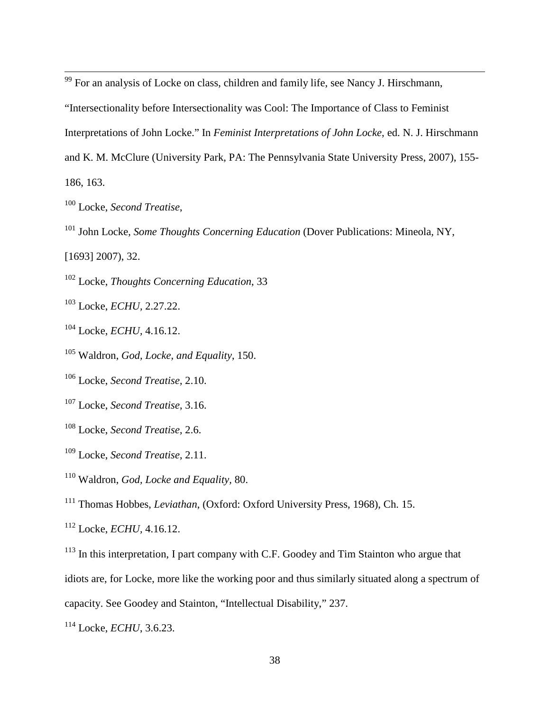<span id="page-38-0"></span>For an analysis of Locke on class, children and family life, see Nancy J. Hirschmann,

"Intersectionality before Intersectionality was Cool: The Importance of Class to Feminist

Interpretations of John Locke." In *Feminist Interpretations of John Locke*, ed. N. J. Hirschmann

and K. M. McClure (University Park, PA: The Pennsylvania State University Press, 2007), 155-

186, 163.

<span id="page-38-1"></span>Locke, *Second Treatise*,

<span id="page-38-2"></span><sup>101</sup> John Locke, *Some Thoughts Concerning Education* (Dover Publications: Mineola, NY,

[1693] 2007), 32.

<span id="page-38-3"></span>Locke, *Thoughts Concerning Education*, 33

<span id="page-38-4"></span>Locke, *ECHU,* 2.27.22.

<span id="page-38-5"></span>Locke, *ECHU,* 4.16.12.

<span id="page-38-6"></span>Waldron, *God, Locke, and Equality*, 150.

<span id="page-38-7"></span>Locke, *Second Treatise*, 2.10.

<span id="page-38-8"></span>Locke, *Second Treatise*, 3.16.

<span id="page-38-9"></span>Locke, *Second Treatise*, 2.6.

<span id="page-38-10"></span>Locke, *Second Treatise*, 2.11.

<span id="page-38-11"></span>Waldron, *God, Locke and Equality,* 80.

<span id="page-38-12"></span>Thomas Hobbes, *Leviathan*, (Oxford: Oxford University Press, 1968), Ch. 15.

<span id="page-38-13"></span>Locke, *ECHU,* 4.16.12.

<span id="page-38-14"></span><sup>113</sup> In this interpretation, I part company with C.F. Goodey and Tim Stainton who argue that idiots are, for Locke, more like the working poor and thus similarly situated along a spectrum of capacity. See Goodey and Stainton, "Intellectual Disability," 237.

<span id="page-38-15"></span>Locke, *ECHU*, 3.6.23.